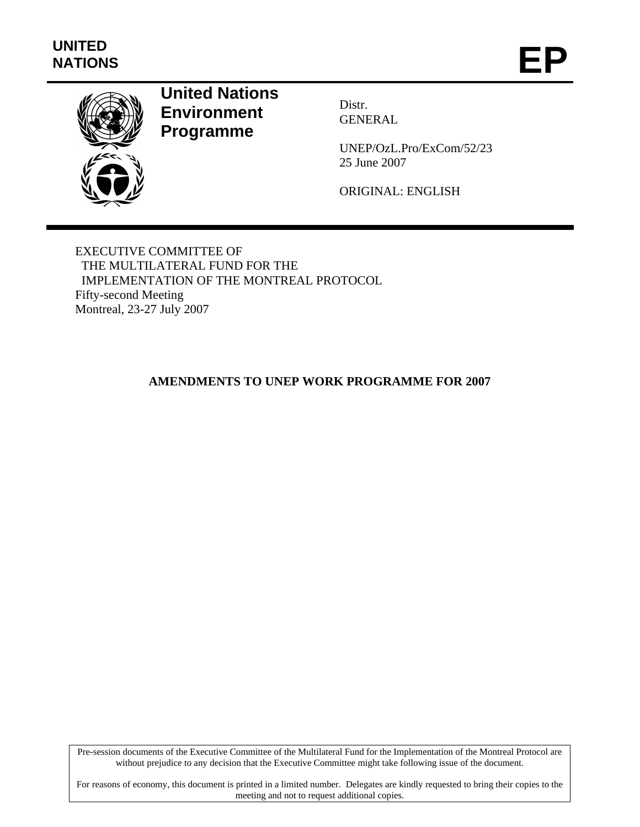

# **United Nations Environment Programme**

Distr. GENERAL

UNEP/OzL.Pro/ExCom/52/23 25 June 2007

ORIGINAL: ENGLISH

EXECUTIVE COMMITTEE OF THE MULTILATERAL FUND FOR THE IMPLEMENTATION OF THE MONTREAL PROTOCOL Fifty-second Meeting Montreal, 23-27 July 2007

## **AMENDMENTS TO UNEP WORK PROGRAMME FOR 2007**

Pre-session documents of the Executive Committee of the Multilateral Fund for the Implementation of the Montreal Protocol are without prejudice to any decision that the Executive Committee might take following issue of the document.

For reasons of economy, this document is printed in a limited number. Delegates are kindly requested to bring their copies to the meeting and not to request additional copies.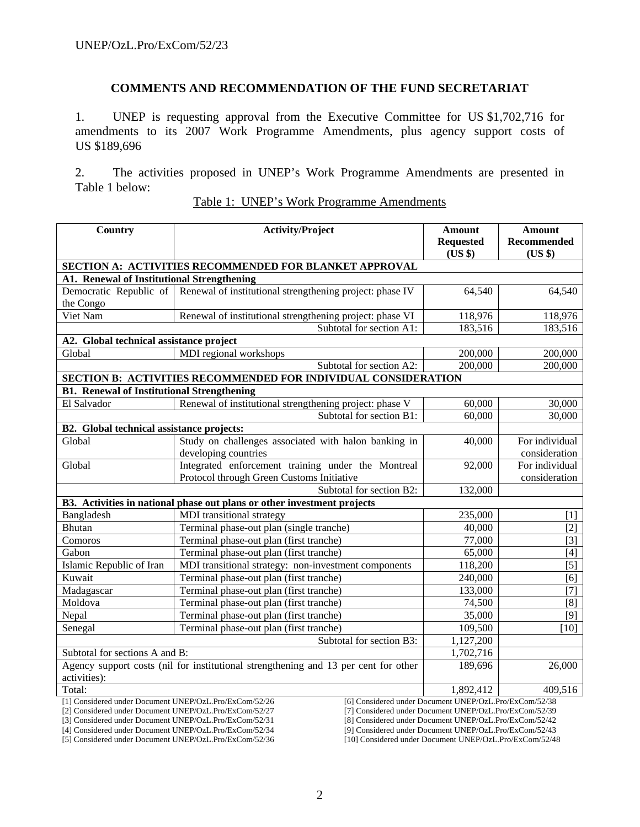#### **COMMENTS AND RECOMMENDATION OF THE FUND SECRETARIAT**

1. UNEP is requesting approval from the Executive Committee for US \$1,702,716 for amendments to its 2007 Work Programme Amendments, plus agency support costs of US \$189,696

2. The activities proposed in UNEP's Work Programme Amendments are presented in Table 1 below:

| <b>Country</b><br><b>Activity/Project</b>                                                                        |                                                                                     | <b>Amount</b>    | <b>Amount</b>  |
|------------------------------------------------------------------------------------------------------------------|-------------------------------------------------------------------------------------|------------------|----------------|
|                                                                                                                  |                                                                                     | <b>Requested</b> | Recommended    |
|                                                                                                                  |                                                                                     | (US \$)          | $(US \$        |
|                                                                                                                  | SECTION A: ACTIVITIES RECOMMENDED FOR BLANKET APPROVAL                              |                  |                |
| A1. Renewal of Institutional Strengthening                                                                       |                                                                                     |                  |                |
|                                                                                                                  | Democratic Republic of Renewal of institutional strengthening project: phase IV     | 64,540           | 64,540         |
| the Congo                                                                                                        |                                                                                     |                  |                |
| Viet Nam                                                                                                         | Renewal of institutional strengthening project: phase VI                            | 118,976          | 118,976        |
|                                                                                                                  | Subtotal for section A1:                                                            | 183,516          | 183,516        |
| A2. Global technical assistance project                                                                          |                                                                                     |                  |                |
| Global                                                                                                           | MDI regional workshops                                                              | 200,000          | 200,000        |
|                                                                                                                  | Subtotal for section A2:                                                            | 200,000          | 200,000        |
|                                                                                                                  | SECTION B: ACTIVITIES RECOMMENDED FOR INDIVIDUAL CONSIDERATION                      |                  |                |
| <b>B1. Renewal of Institutional Strengthening</b>                                                                |                                                                                     |                  |                |
| El Salvador                                                                                                      | Renewal of institutional strengthening project: phase V                             | 60,000           | 30,000         |
|                                                                                                                  | Subtotal for section B1:                                                            | 60,000           | 30,000         |
| B2. Global technical assistance projects:                                                                        |                                                                                     |                  |                |
| Global                                                                                                           | Study on challenges associated with halon banking in                                | 40,000           | For individual |
|                                                                                                                  | developing countries                                                                |                  | consideration  |
| Global                                                                                                           | Integrated enforcement training under the Montreal                                  | 92,000           | For individual |
|                                                                                                                  | Protocol through Green Customs Initiative                                           |                  | consideration  |
|                                                                                                                  | Subtotal for section B2:                                                            | 132,000          |                |
|                                                                                                                  | B3. Activities in national phase out plans or other investment projects             |                  |                |
| Bangladesh                                                                                                       | MDI transitional strategy                                                           | 235,000          | $[1]$          |
| Bhutan                                                                                                           | Terminal phase-out plan (single tranche)                                            | 40,000           | [2]            |
| Comoros                                                                                                          | Terminal phase-out plan (first tranche)                                             | 77,000           | $[3]$          |
| Gabon                                                                                                            | Terminal phase-out plan (first tranche)                                             | 65,000           | $[4]$          |
| Islamic Republic of Iran                                                                                         | MDI transitional strategy: non-investment components                                | 118,200          | $[5]$          |
| Kuwait                                                                                                           | Terminal phase-out plan (first tranche)                                             | 240,000          | [6]            |
| Madagascar                                                                                                       | Terminal phase-out plan (first tranche)                                             | 133,000          | $[7]$          |
| Moldova                                                                                                          | Terminal phase-out plan (first tranche)                                             | 74,500           | [8]            |
| Nepal                                                                                                            | Terminal phase-out plan (first tranche)                                             | 35,000           | $[9]$          |
| Senegal                                                                                                          | Terminal phase-out plan (first tranche)                                             | 109,500          | [10]           |
|                                                                                                                  | Subtotal for section B3:                                                            | 1,127,200        |                |
| Subtotal for sections A and B:                                                                                   |                                                                                     | 1,702,716        |                |
|                                                                                                                  | Agency support costs (nil for institutional strengthening and 13 per cent for other | 189,696          | 26,000         |
| activities):                                                                                                     |                                                                                     |                  |                |
| Total:<br>1,892,412<br>409,516                                                                                   |                                                                                     |                  |                |
| [6] Considered under Document UNEP/OzL.Pro/ExCom/52/38<br>[1] Considered under Document UNEP/OzL.Pro/ExCom/52/26 |                                                                                     |                  |                |

| Table 1: UNEP's Work Programme Amendments |
|-------------------------------------------|
|-------------------------------------------|

[2] Considered under Document UNEP/OzL.Pro/ExCom/52/27 [3] Considered under Document UNEP/OzL.Pro/ExCom/52/31 [7] Considered under Document UNEP/OzL.Pro/ExCom/52/39 [8] Considered under Document UNEP/OzL.Pro/ExCom/52/42

[4] Considered under Document UNEP/OzL.Pro/ExCom/52/34

[5] Considered under Document UNEP/OzL.Pro/ExCom/52/36

[9] Considered under Document UNEP/OzL.Pro/ExCom/52/43

[10] Considered under Document UNEP/OzL.Pro/ExCom/52/48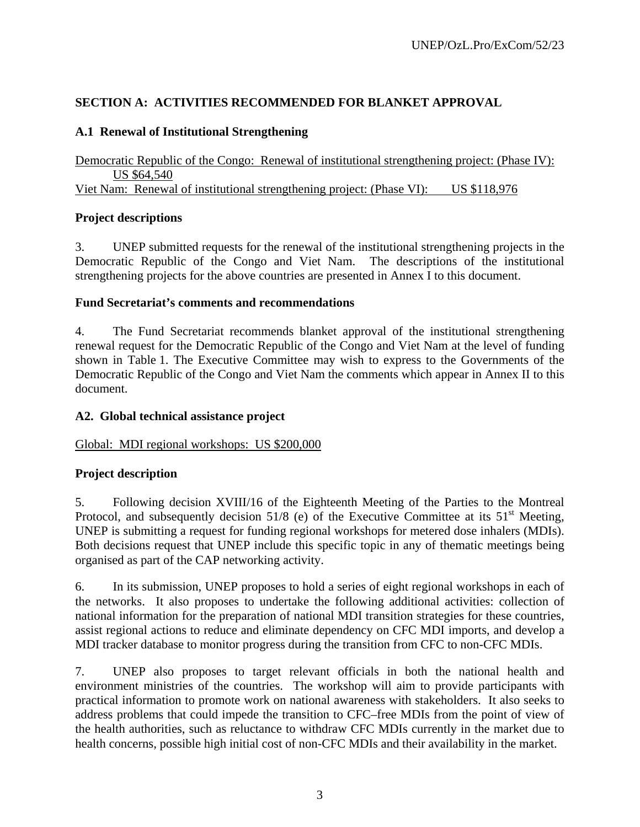## **SECTION A: ACTIVITIES RECOMMENDED FOR BLANKET APPROVAL**

## **A.1 Renewal of Institutional Strengthening**

Democratic Republic of the Congo: Renewal of institutional strengthening project: (Phase IV): US \$64,540 Viet Nam: Renewal of institutional strengthening project: (Phase VI): US \$118,976

## **Project descriptions**

3. UNEP submitted requests for the renewal of the institutional strengthening projects in the Democratic Republic of the Congo and Viet Nam. The descriptions of the institutional strengthening projects for the above countries are presented in Annex I to this document.

## **Fund Secretariat's comments and recommendations**

4. The Fund Secretariat recommends blanket approval of the institutional strengthening renewal request for the Democratic Republic of the Congo and Viet Nam at the level of funding shown in Table 1. The Executive Committee may wish to express to the Governments of the Democratic Republic of the Congo and Viet Nam the comments which appear in Annex II to this document.

## **A2. Global technical assistance project**

## Global: MDI regional workshops: US \$200,000

## **Project description**

5. Following decision XVIII/16 of the Eighteenth Meeting of the Parties to the Montreal Protocol, and subsequently decision 51/8 (e) of the Executive Committee at its  $51<sup>st</sup>$  Meeting, UNEP is submitting a request for funding regional workshops for metered dose inhalers (MDIs). Both decisions request that UNEP include this specific topic in any of thematic meetings being organised as part of the CAP networking activity.

6. In its submission, UNEP proposes to hold a series of eight regional workshops in each of the networks. It also proposes to undertake the following additional activities: collection of national information for the preparation of national MDI transition strategies for these countries, assist regional actions to reduce and eliminate dependency on CFC MDI imports, and develop a MDI tracker database to monitor progress during the transition from CFC to non-CFC MDIs.

7. UNEP also proposes to target relevant officials in both the national health and environment ministries of the countries. The workshop will aim to provide participants with practical information to promote work on national awareness with stakeholders. It also seeks to address problems that could impede the transition to CFC–free MDIs from the point of view of the health authorities, such as reluctance to withdraw CFC MDIs currently in the market due to health concerns, possible high initial cost of non-CFC MDIs and their availability in the market.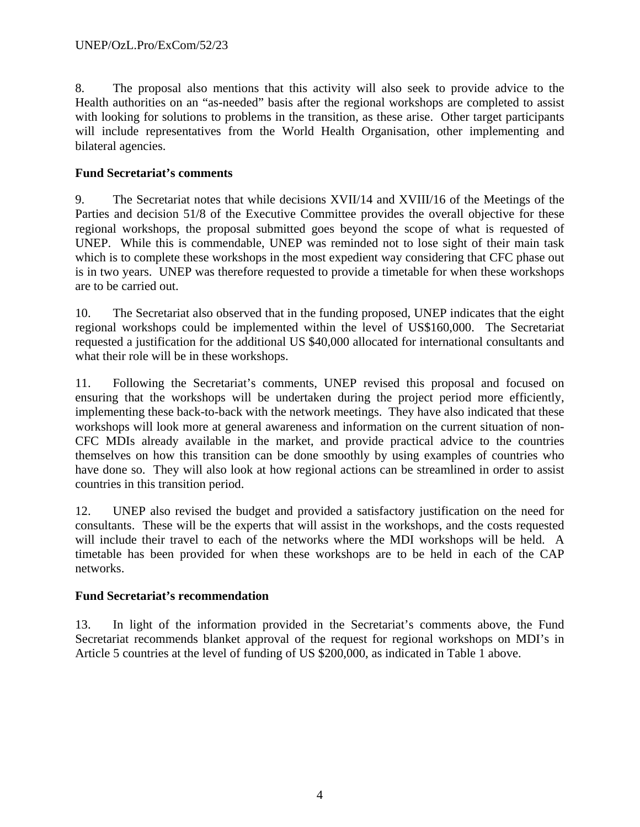8. The proposal also mentions that this activity will also seek to provide advice to the Health authorities on an "as-needed" basis after the regional workshops are completed to assist with looking for solutions to problems in the transition, as these arise. Other target participants will include representatives from the World Health Organisation, other implementing and bilateral agencies.

## **Fund Secretariat's comments**

9. The Secretariat notes that while decisions XVII/14 and XVIII/16 of the Meetings of the Parties and decision 51/8 of the Executive Committee provides the overall objective for these regional workshops, the proposal submitted goes beyond the scope of what is requested of UNEP. While this is commendable, UNEP was reminded not to lose sight of their main task which is to complete these workshops in the most expedient way considering that CFC phase out is in two years. UNEP was therefore requested to provide a timetable for when these workshops are to be carried out.

10. The Secretariat also observed that in the funding proposed, UNEP indicates that the eight regional workshops could be implemented within the level of US\$160,000. The Secretariat requested a justification for the additional US \$40,000 allocated for international consultants and what their role will be in these workshops.

11. Following the Secretariat's comments, UNEP revised this proposal and focused on ensuring that the workshops will be undertaken during the project period more efficiently, implementing these back-to-back with the network meetings. They have also indicated that these workshops will look more at general awareness and information on the current situation of non-CFC MDIs already available in the market, and provide practical advice to the countries themselves on how this transition can be done smoothly by using examples of countries who have done so. They will also look at how regional actions can be streamlined in order to assist countries in this transition period.

12. UNEP also revised the budget and provided a satisfactory justification on the need for consultants. These will be the experts that will assist in the workshops, and the costs requested will include their travel to each of the networks where the MDI workshops will be held. A timetable has been provided for when these workshops are to be held in each of the CAP networks.

## **Fund Secretariat's recommendation**

13. In light of the information provided in the Secretariat's comments above, the Fund Secretariat recommends blanket approval of the request for regional workshops on MDI's in Article 5 countries at the level of funding of US \$200,000, as indicated in Table 1 above.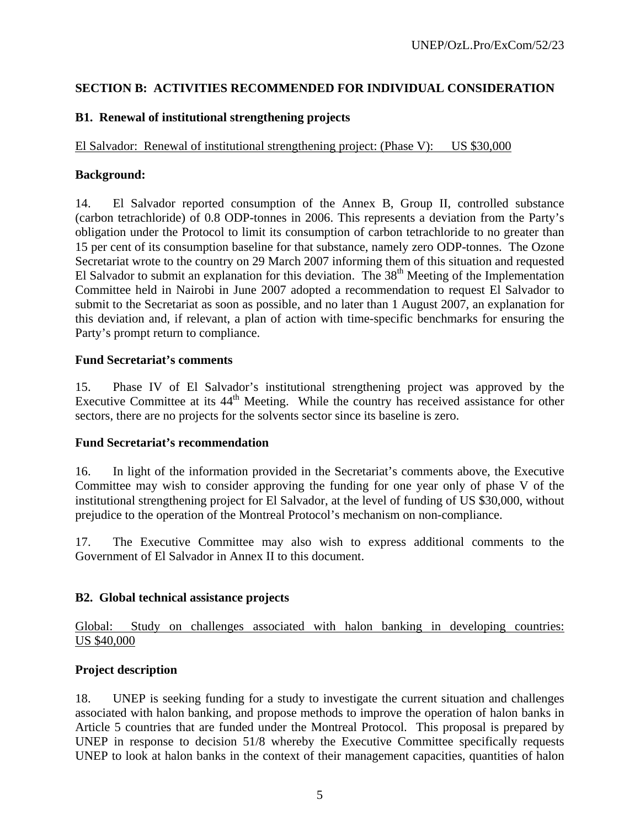## **SECTION B: ACTIVITIES RECOMMENDED FOR INDIVIDUAL CONSIDERATION**

## **B1. Renewal of institutional strengthening projects**

El Salvador: Renewal of institutional strengthening project: (Phase V): US \$30,000

## **Background:**

14. El Salvador reported consumption of the Annex B, Group II, controlled substance (carbon tetrachloride) of 0.8 ODP-tonnes in 2006. This represents a deviation from the Party's obligation under the Protocol to limit its consumption of carbon tetrachloride to no greater than 15 per cent of its consumption baseline for that substance, namely zero ODP-tonnes. The Ozone Secretariat wrote to the country on 29 March 2007 informing them of this situation and requested El Salvador to submit an explanation for this deviation. The  $38<sup>th</sup>$  Meeting of the Implementation Committee held in Nairobi in June 2007 adopted a recommendation to request El Salvador to submit to the Secretariat as soon as possible, and no later than 1 August 2007, an explanation for this deviation and, if relevant, a plan of action with time-specific benchmarks for ensuring the Party's prompt return to compliance.

## **Fund Secretariat's comments**

15. Phase IV of El Salvador's institutional strengthening project was approved by the Executive Committee at its  $44<sup>th</sup>$  Meeting. While the country has received assistance for other sectors, there are no projects for the solvents sector since its baseline is zero.

#### **Fund Secretariat's recommendation**

16. In light of the information provided in the Secretariat's comments above, the Executive Committee may wish to consider approving the funding for one year only of phase V of the institutional strengthening project for El Salvador, at the level of funding of US \$30,000, without prejudice to the operation of the Montreal Protocol's mechanism on non-compliance.

17. The Executive Committee may also wish to express additional comments to the Government of El Salvador in Annex II to this document.

## **B2. Global technical assistance projects**

## Global: Study on challenges associated with halon banking in developing countries: US \$40,000

## **Project description**

18. UNEP is seeking funding for a study to investigate the current situation and challenges associated with halon banking, and propose methods to improve the operation of halon banks in Article 5 countries that are funded under the Montreal Protocol. This proposal is prepared by UNEP in response to decision 51/8 whereby the Executive Committee specifically requests UNEP to look at halon banks in the context of their management capacities, quantities of halon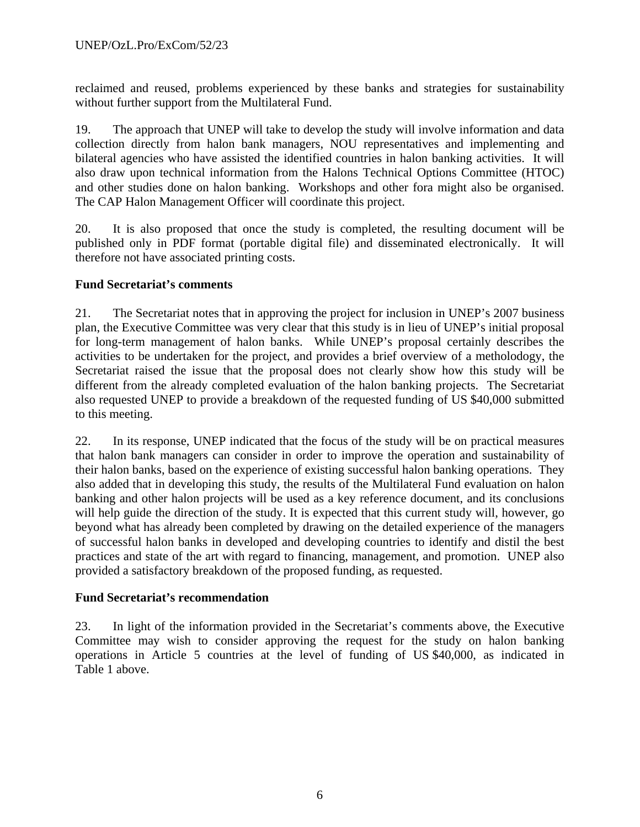reclaimed and reused, problems experienced by these banks and strategies for sustainability without further support from the Multilateral Fund.

19. The approach that UNEP will take to develop the study will involve information and data collection directly from halon bank managers, NOU representatives and implementing and bilateral agencies who have assisted the identified countries in halon banking activities. It will also draw upon technical information from the Halons Technical Options Committee (HTOC) and other studies done on halon banking. Workshops and other fora might also be organised. The CAP Halon Management Officer will coordinate this project.

20. It is also proposed that once the study is completed, the resulting document will be published only in PDF format (portable digital file) and disseminated electronically. It will therefore not have associated printing costs.

## **Fund Secretariat's comments**

21. The Secretariat notes that in approving the project for inclusion in UNEP's 2007 business plan, the Executive Committee was very clear that this study is in lieu of UNEP's initial proposal for long-term management of halon banks. While UNEP's proposal certainly describes the activities to be undertaken for the project, and provides a brief overview of a metholodogy, the Secretariat raised the issue that the proposal does not clearly show how this study will be different from the already completed evaluation of the halon banking projects. The Secretariat also requested UNEP to provide a breakdown of the requested funding of US \$40,000 submitted to this meeting.

22. In its response, UNEP indicated that the focus of the study will be on practical measures that halon bank managers can consider in order to improve the operation and sustainability of their halon banks, based on the experience of existing successful halon banking operations. They also added that in developing this study, the results of the Multilateral Fund evaluation on halon banking and other halon projects will be used as a key reference document, and its conclusions will help guide the direction of the study. It is expected that this current study will, however, go beyond what has already been completed by drawing on the detailed experience of the managers of successful halon banks in developed and developing countries to identify and distil the best practices and state of the art with regard to financing, management, and promotion. UNEP also provided a satisfactory breakdown of the proposed funding, as requested.

## **Fund Secretariat's recommendation**

23. In light of the information provided in the Secretariat's comments above, the Executive Committee may wish to consider approving the request for the study on halon banking operations in Article 5 countries at the level of funding of US \$40,000, as indicated in Table 1 above.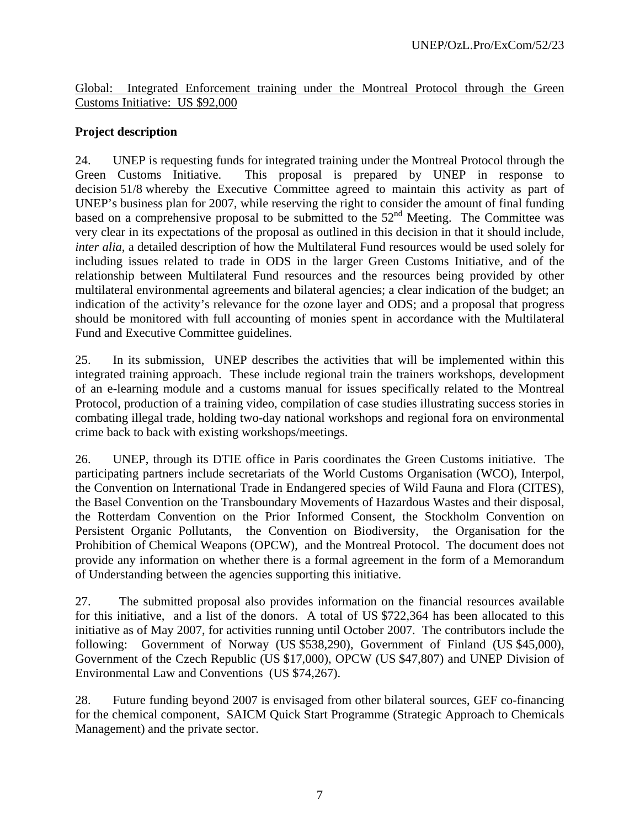Global: Integrated Enforcement training under the Montreal Protocol through the Green Customs Initiative: US \$92,000

## **Project description**

24. UNEP is requesting funds for integrated training under the Montreal Protocol through the Green Customs Initiative. This proposal is prepared by UNEP in response to decision 51/8 whereby the Executive Committee agreed to maintain this activity as part of UNEP's business plan for 2007, while reserving the right to consider the amount of final funding based on a comprehensive proposal to be submitted to the  $52<sup>nd</sup>$  Meeting. The Committee was very clear in its expectations of the proposal as outlined in this decision in that it should include, *inter alia*, a detailed description of how the Multilateral Fund resources would be used solely for including issues related to trade in ODS in the larger Green Customs Initiative, and of the relationship between Multilateral Fund resources and the resources being provided by other multilateral environmental agreements and bilateral agencies; a clear indication of the budget; an indication of the activity's relevance for the ozone layer and ODS; and a proposal that progress should be monitored with full accounting of monies spent in accordance with the Multilateral Fund and Executive Committee guidelines.

25. In its submission, UNEP describes the activities that will be implemented within this integrated training approach. These include regional train the trainers workshops, development of an e-learning module and a customs manual for issues specifically related to the Montreal Protocol, production of a training video, compilation of case studies illustrating success stories in combating illegal trade, holding two-day national workshops and regional fora on environmental crime back to back with existing workshops/meetings.

26. UNEP, through its DTIE office in Paris coordinates the Green Customs initiative. The participating partners include secretariats of the World Customs Organisation (WCO), Interpol, the Convention on International Trade in Endangered species of Wild Fauna and Flora (CITES), the Basel Convention on the Transboundary Movements of Hazardous Wastes and their disposal, the Rotterdam Convention on the Prior Informed Consent, the Stockholm Convention on Persistent Organic Pollutants, the Convention on Biodiversity, the Organisation for the Prohibition of Chemical Weapons (OPCW), and the Montreal Protocol. The document does not provide any information on whether there is a formal agreement in the form of a Memorandum of Understanding between the agencies supporting this initiative.

27. The submitted proposal also provides information on the financial resources available for this initiative, and a list of the donors. A total of US \$722,364 has been allocated to this initiative as of May 2007, for activities running until October 2007. The contributors include the following: Government of Norway (US \$538,290), Government of Finland (US \$45,000), Government of the Czech Republic (US \$17,000), OPCW (US \$47,807) and UNEP Division of Environmental Law and Conventions (US \$74,267).

28. Future funding beyond 2007 is envisaged from other bilateral sources, GEF co-financing for the chemical component, SAICM Quick Start Programme (Strategic Approach to Chemicals Management) and the private sector.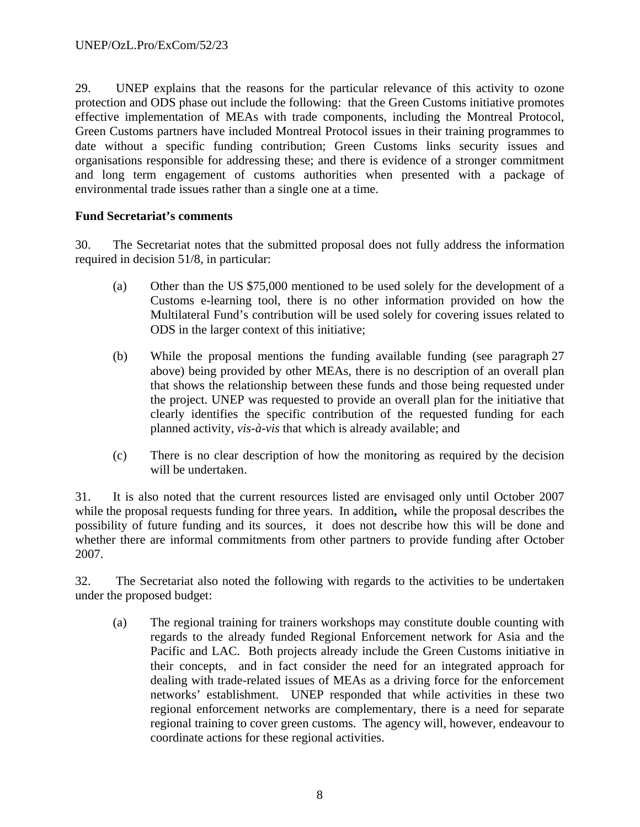29. UNEP explains that the reasons for the particular relevance of this activity to ozone protection and ODS phase out include the following: that the Green Customs initiative promotes effective implementation of MEAs with trade components, including the Montreal Protocol, Green Customs partners have included Montreal Protocol issues in their training programmes to date without a specific funding contribution; Green Customs links security issues and organisations responsible for addressing these; and there is evidence of a stronger commitment and long term engagement of customs authorities when presented with a package of environmental trade issues rather than a single one at a time.

## **Fund Secretariat's comments**

30. The Secretariat notes that the submitted proposal does not fully address the information required in decision 51/8, in particular:

- (a) Other than the US \$75,000 mentioned to be used solely for the development of a Customs e-learning tool, there is no other information provided on how the Multilateral Fund's contribution will be used solely for covering issues related to ODS in the larger context of this initiative;
- (b) While the proposal mentions the funding available funding (see paragraph 27 above) being provided by other MEAs, there is no description of an overall plan that shows the relationship between these funds and those being requested under the project. UNEP was requested to provide an overall plan for the initiative that clearly identifies the specific contribution of the requested funding for each planned activity, *vis-à-vis* that which is already available; and
- (c) There is no clear description of how the monitoring as required by the decision will be undertaken.

31. It is also noted that the current resources listed are envisaged only until October 2007 while the proposal requests funding for three years. In addition**,** while the proposal describes the possibility of future funding and its sources, it does not describe how this will be done and whether there are informal commitments from other partners to provide funding after October 2007.

32. The Secretariat also noted the following with regards to the activities to be undertaken under the proposed budget:

(a) The regional training for trainers workshops may constitute double counting with regards to the already funded Regional Enforcement network for Asia and the Pacific and LAC. Both projects already include the Green Customs initiative in their concepts, and in fact consider the need for an integrated approach for dealing with trade-related issues of MEAs as a driving force for the enforcement networks' establishment. UNEP responded that while activities in these two regional enforcement networks are complementary, there is a need for separate regional training to cover green customs. The agency will, however, endeavour to coordinate actions for these regional activities.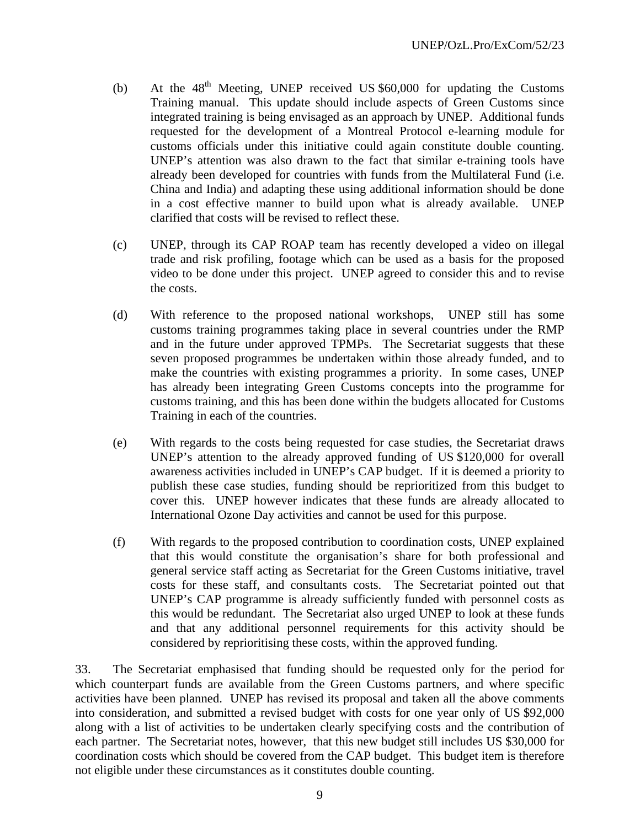- (b) At the  $48<sup>th</sup>$  Meeting, UNEP received US \$60,000 for updating the Customs Training manual. This update should include aspects of Green Customs since integrated training is being envisaged as an approach by UNEP. Additional funds requested for the development of a Montreal Protocol e-learning module for customs officials under this initiative could again constitute double counting. UNEP's attention was also drawn to the fact that similar e-training tools have already been developed for countries with funds from the Multilateral Fund (i.e. China and India) and adapting these using additional information should be done in a cost effective manner to build upon what is already available. UNEP clarified that costs will be revised to reflect these.
- (c) UNEP, through its CAP ROAP team has recently developed a video on illegal trade and risk profiling, footage which can be used as a basis for the proposed video to be done under this project. UNEP agreed to consider this and to revise the costs.
- (d) With reference to the proposed national workshops, UNEP still has some customs training programmes taking place in several countries under the RMP and in the future under approved TPMPs. The Secretariat suggests that these seven proposed programmes be undertaken within those already funded, and to make the countries with existing programmes a priority. In some cases, UNEP has already been integrating Green Customs concepts into the programme for customs training, and this has been done within the budgets allocated for Customs Training in each of the countries.
- (e) With regards to the costs being requested for case studies, the Secretariat draws UNEP's attention to the already approved funding of US \$120,000 for overall awareness activities included in UNEP's CAP budget. If it is deemed a priority to publish these case studies, funding should be reprioritized from this budget to cover this. UNEP however indicates that these funds are already allocated to International Ozone Day activities and cannot be used for this purpose.
- (f) With regards to the proposed contribution to coordination costs, UNEP explained that this would constitute the organisation's share for both professional and general service staff acting as Secretariat for the Green Customs initiative, travel costs for these staff, and consultants costs. The Secretariat pointed out that UNEP's CAP programme is already sufficiently funded with personnel costs as this would be redundant. The Secretariat also urged UNEP to look at these funds and that any additional personnel requirements for this activity should be considered by reprioritising these costs, within the approved funding.

33. The Secretariat emphasised that funding should be requested only for the period for which counterpart funds are available from the Green Customs partners, and where specific activities have been planned. UNEP has revised its proposal and taken all the above comments into consideration, and submitted a revised budget with costs for one year only of US \$92,000 along with a list of activities to be undertaken clearly specifying costs and the contribution of each partner. The Secretariat notes, however, that this new budget still includes US \$30,000 for coordination costs which should be covered from the CAP budget. This budget item is therefore not eligible under these circumstances as it constitutes double counting.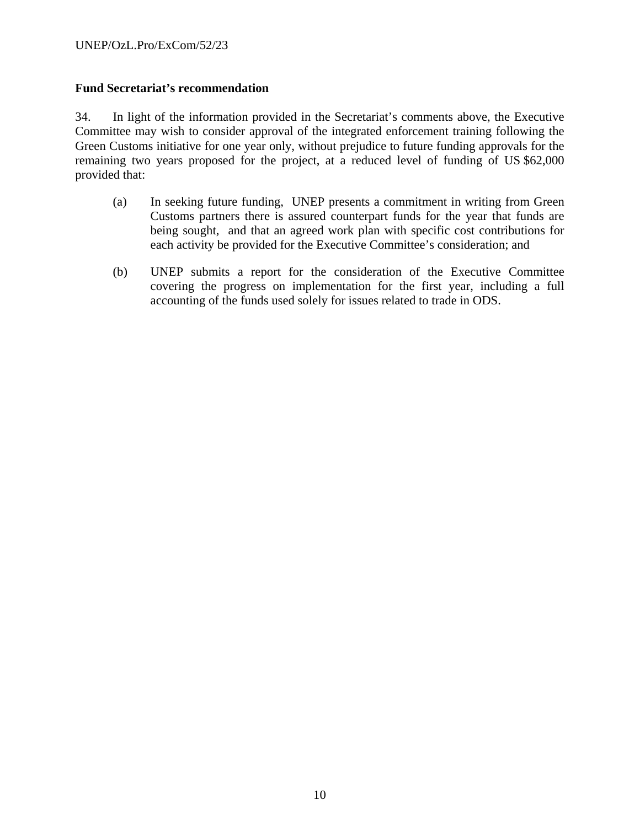## **Fund Secretariat's recommendation**

34. In light of the information provided in the Secretariat's comments above, the Executive Committee may wish to consider approval of the integrated enforcement training following the Green Customs initiative for one year only, without prejudice to future funding approvals for the remaining two years proposed for the project, at a reduced level of funding of US \$62,000 provided that:

- (a) In seeking future funding, UNEP presents a commitment in writing from Green Customs partners there is assured counterpart funds for the year that funds are being sought, and that an agreed work plan with specific cost contributions for each activity be provided for the Executive Committee's consideration; and
- (b) UNEP submits a report for the consideration of the Executive Committee covering the progress on implementation for the first year, including a full accounting of the funds used solely for issues related to trade in ODS.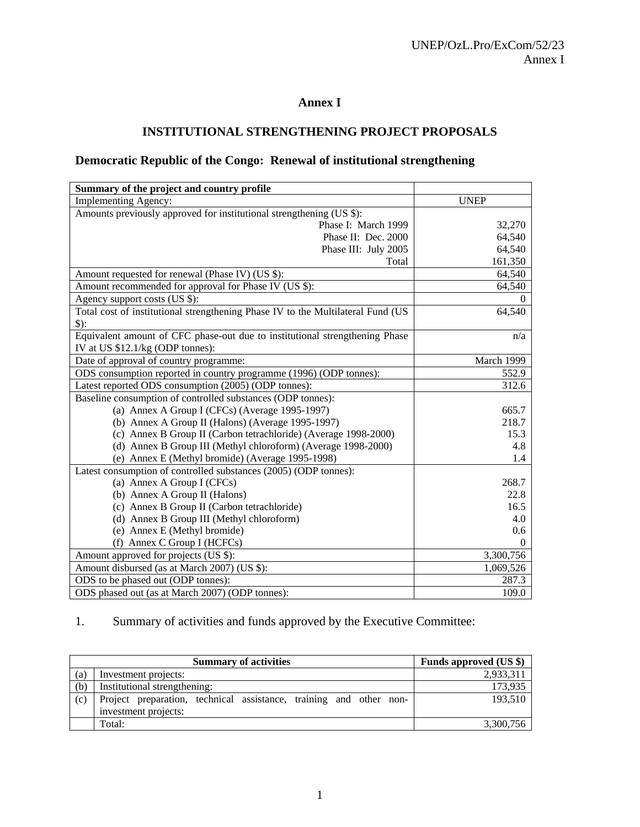## **Annex I**

## **INSTITUTIONAL STRENGTHENING PROJECT PROPOSALS**

## **Democratic Republic of the Congo: Renewal of institutional strengthening**

| Summary of the project and country profile                                      |             |
|---------------------------------------------------------------------------------|-------------|
| <b>Implementing Agency:</b>                                                     | <b>UNEP</b> |
| Amounts previously approved for institutional strengthening (US \$):            |             |
| Phase I: March 1999                                                             | 32,270      |
| Phase II: Dec. 2000                                                             | 64,540      |
| Phase III: July 2005                                                            | 64,540      |
| Total                                                                           | 161,350     |
| Amount requested for renewal (Phase IV) (US \$):                                | 64,540      |
| Amount recommended for approval for Phase IV (US \$):                           | 64,540      |
| Agency support costs (US \$):                                                   | 0           |
| Total cost of institutional strengthening Phase IV to the Multilateral Fund (US | 64,540      |
| $\mathcal{S}$ :                                                                 |             |
| Equivalent amount of CFC phase-out due to institutional strengthening Phase     | n/a         |
| IV at US \$12.1/kg (ODP tonnes):                                                |             |
| Date of approval of country programme:                                          | March 1999  |
| ODS consumption reported in country programme (1996) (ODP tonnes):              | 552.9       |
| Latest reported ODS consumption (2005) (ODP tonnes):                            | 312.6       |
| Baseline consumption of controlled substances (ODP tonnes):                     |             |
| (a) Annex A Group I (CFCs) (Average 1995-1997)                                  | 665.7       |
| (b) Annex A Group II (Halons) (Average 1995-1997)                               | 218.7       |
| (c) Annex B Group II (Carbon tetrachloride) (Average 1998-2000)                 | 15.3        |
| (d) Annex B Group III (Methyl chloroform) (Average 1998-2000)                   | 4.8         |
| (e) Annex E (Methyl bromide) (Average 1995-1998)                                | 1.4         |
| Latest consumption of controlled substances (2005) (ODP tonnes):                |             |
| (a) Annex A Group I (CFCs)                                                      | 268.7       |
| (b) Annex A Group II (Halons)                                                   | 22.8        |
| (c) Annex B Group II (Carbon tetrachloride)                                     | 16.5        |
| (d) Annex B Group III (Methyl chloroform)                                       | 4.0         |
| (e) Annex E (Methyl bromide)                                                    | 0.6         |
| (f) Annex C Group I (HCFCs)                                                     | $\Omega$    |
| Amount approved for projects (US \$):                                           | 3,300,756   |
| Amount disbursed (as at March 2007) (US \$):                                    | 1,069,526   |
| ODS to be phased out (ODP tonnes):                                              | 287.3       |
| ODS phased out (as at March 2007) (ODP tonnes):                                 | 109.0       |

1. Summary of activities and funds approved by the Executive Committee:

|     | <b>Summary of activities</b>                                                               | Funds approved (US \$) |
|-----|--------------------------------------------------------------------------------------------|------------------------|
| (a) | Investment projects:                                                                       | 2,933,311              |
| (b) | Institutional strengthening:                                                               | 173,935                |
| (c) | Project preparation, technical assistance, training and other non-<br>investment projects: | 193.510                |
|     |                                                                                            |                        |
|     | Total:                                                                                     | 3,300,756              |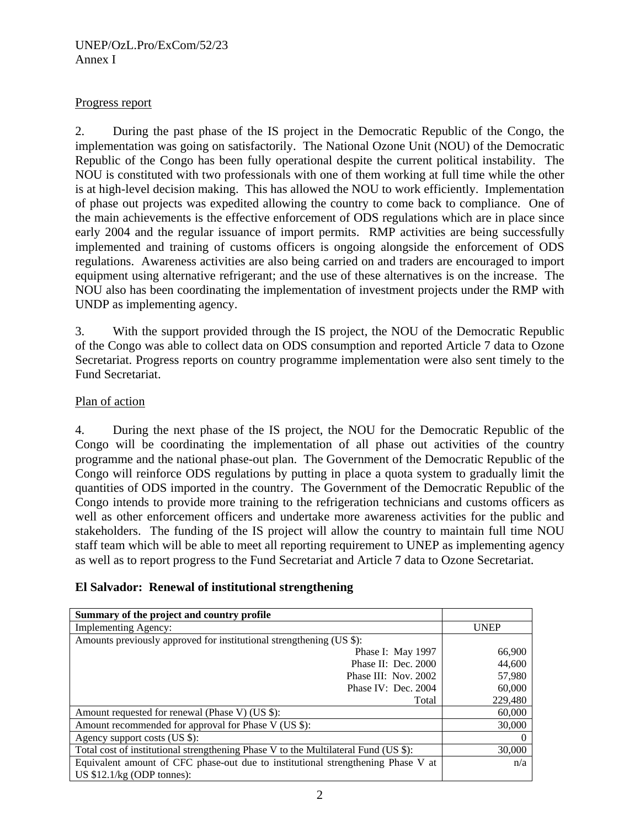## Progress report

2. During the past phase of the IS project in the Democratic Republic of the Congo, the implementation was going on satisfactorily. The National Ozone Unit (NOU) of the Democratic Republic of the Congo has been fully operational despite the current political instability. The NOU is constituted with two professionals with one of them working at full time while the other is at high-level decision making. This has allowed the NOU to work efficiently. Implementation of phase out projects was expedited allowing the country to come back to compliance. One of the main achievements is the effective enforcement of ODS regulations which are in place since early 2004 and the regular issuance of import permits. RMP activities are being successfully implemented and training of customs officers is ongoing alongside the enforcement of ODS regulations. Awareness activities are also being carried on and traders are encouraged to import equipment using alternative refrigerant; and the use of these alternatives is on the increase. The NOU also has been coordinating the implementation of investment projects under the RMP with UNDP as implementing agency.

3. With the support provided through the IS project, the NOU of the Democratic Republic of the Congo was able to collect data on ODS consumption and reported Article 7 data to Ozone Secretariat. Progress reports on country programme implementation were also sent timely to the Fund Secretariat.

## Plan of action

4. During the next phase of the IS project, the NOU for the Democratic Republic of the Congo will be coordinating the implementation of all phase out activities of the country programme and the national phase-out plan. The Government of the Democratic Republic of the Congo will reinforce ODS regulations by putting in place a quota system to gradually limit the quantities of ODS imported in the country. The Government of the Democratic Republic of the Congo intends to provide more training to the refrigeration technicians and customs officers as well as other enforcement officers and undertake more awareness activities for the public and stakeholders. The funding of the IS project will allow the country to maintain full time NOU staff team which will be able to meet all reporting requirement to UNEP as implementing agency as well as to report progress to the Fund Secretariat and Article 7 data to Ozone Secretariat.

| El Salvador: Renewal of institutional strengthening |  |  |  |  |
|-----------------------------------------------------|--|--|--|--|
|-----------------------------------------------------|--|--|--|--|

| Summary of the project and country profile                                          |             |
|-------------------------------------------------------------------------------------|-------------|
| <b>Implementing Agency:</b>                                                         | <b>UNEP</b> |
| Amounts previously approved for institutional strengthening (US \$):                |             |
| Phase I: May 1997                                                                   | 66,900      |
| Phase II: Dec. $2000$                                                               | 44,600      |
| Phase III: Nov. 2002                                                                | 57,980      |
| Phase IV: Dec. $2004$                                                               | 60,000      |
| Total                                                                               | 229,480     |
| Amount requested for renewal (Phase V) (US \$):                                     | 60,000      |
| Amount recommended for approval for Phase V (US \$):                                | 30,000      |
| Agency support costs (US \$):                                                       | $\theta$    |
| Total cost of institutional strengthening Phase V to the Multilateral Fund (US \$): | 30,000      |
| Equivalent amount of CFC phase-out due to institutional strengthening Phase V at    | n/a         |
| US $$12.1/kg$ (ODP tonnes):                                                         |             |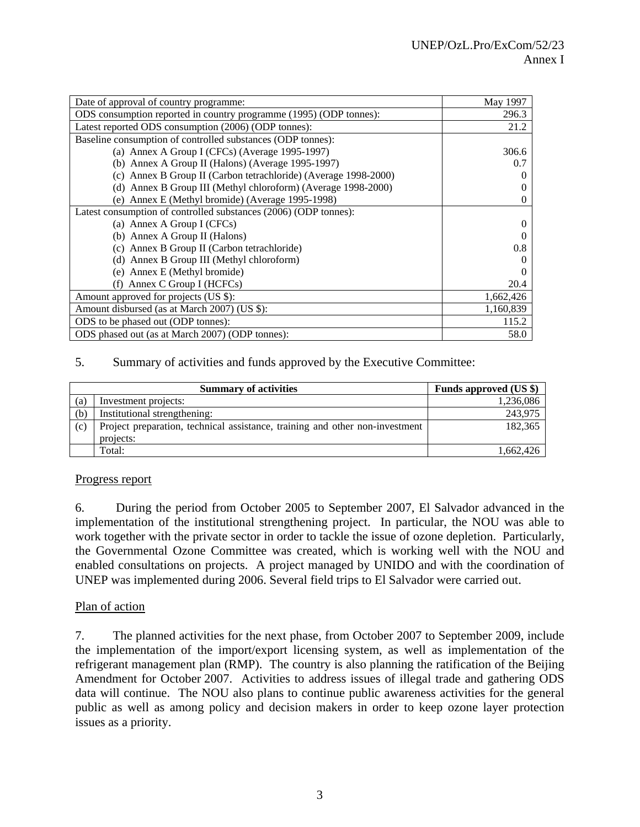| Date of approval of country programme:                             | May 1997  |
|--------------------------------------------------------------------|-----------|
| ODS consumption reported in country programme (1995) (ODP tonnes): | 296.3     |
| Latest reported ODS consumption (2006) (ODP tonnes):               | 21.2      |
| Baseline consumption of controlled substances (ODP tonnes):        |           |
| (a) Annex A Group I (CFCs) (Average 1995-1997)                     | 306.6     |
| (b) Annex A Group II (Halons) (Average 1995-1997)                  | 0.7       |
| (c) Annex B Group II (Carbon tetrachloride) (Average 1998-2000)    |           |
| (d) Annex B Group III (Methyl chloroform) (Average 1998-2000)      | $_{0}$    |
| (e) Annex E (Methyl bromide) (Average 1995-1998)                   | 0         |
| Latest consumption of controlled substances (2006) (ODP tonnes):   |           |
| (a) Annex A Group I (CFCs)                                         | $\Omega$  |
| (b) Annex A Group II (Halons)                                      |           |
| (c) Annex B Group II (Carbon tetrachloride)                        | 0.8       |
| (d) Annex B Group III (Methyl chloroform)                          |           |
| (e) Annex E (Methyl bromide)                                       |           |
| Annex C Group I (HCFCs)                                            | 20.4      |
| Amount approved for projects (US \$):                              | 1,662,426 |
| Amount disbursed (as at March 2007) (US \$):                       | 1,160,839 |
| ODS to be phased out (ODP tonnes):                                 | 115.2     |
| ODS phased out (as at March 2007) (ODP tonnes):                    | 58.0      |

#### 5. Summary of activities and funds approved by the Executive Committee:

|     | <b>Summary of activities</b>                                                 | Funds approved (US \$) |
|-----|------------------------------------------------------------------------------|------------------------|
| (a) | Investment projects:                                                         | 1,236,086              |
| (b) | Institutional strengthening:                                                 | 243.975                |
| (c) | Project preparation, technical assistance, training and other non-investment | 182.365                |
|     | projects:                                                                    |                        |
|     | Total:                                                                       | 1.662.426              |

#### Progress report

6. During the period from October 2005 to September 2007, El Salvador advanced in the implementation of the institutional strengthening project. In particular, the NOU was able to work together with the private sector in order to tackle the issue of ozone depletion. Particularly, the Governmental Ozone Committee was created, which is working well with the NOU and enabled consultations on projects. A project managed by UNIDO and with the coordination of UNEP was implemented during 2006. Several field trips to El Salvador were carried out.

#### Plan of action

7. The planned activities for the next phase, from October 2007 to September 2009, include the implementation of the import/export licensing system, as well as implementation of the refrigerant management plan (RMP). The country is also planning the ratification of the Beijing Amendment for October 2007. Activities to address issues of illegal trade and gathering ODS data will continue. The NOU also plans to continue public awareness activities for the general public as well as among policy and decision makers in order to keep ozone layer protection issues as a priority.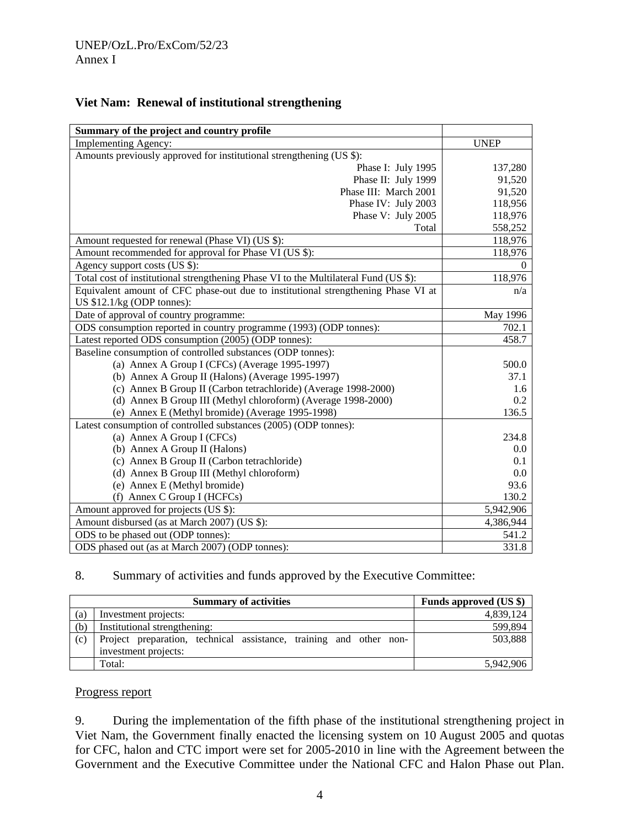| Summary of the project and country profile                                           |             |
|--------------------------------------------------------------------------------------|-------------|
| <b>Implementing Agency:</b>                                                          | <b>UNEP</b> |
| Amounts previously approved for institutional strengthening (US \$):                 |             |
| Phase I: July 1995                                                                   | 137,280     |
| Phase II: July 1999                                                                  | 91,520      |
| Phase III: March 2001                                                                | 91,520      |
| Phase IV: July 2003                                                                  | 118,956     |
| Phase V: July 2005                                                                   | 118,976     |
| Total                                                                                | 558,252     |
| Amount requested for renewal (Phase VI) (US \$):                                     | 118,976     |
| Amount recommended for approval for Phase VI (US \$):                                | 118,976     |
| Agency support costs (US \$):                                                        | $\theta$    |
| Total cost of institutional strengthening Phase VI to the Multilateral Fund (US \$): | 118,976     |
| Equivalent amount of CFC phase-out due to institutional strengthening Phase VI at    | n/a         |
| US $$12.1/kg$ (ODP tonnes):                                                          |             |
| Date of approval of country programme:                                               | May 1996    |
| ODS consumption reported in country programme (1993) (ODP tonnes):                   | 702.1       |
| Latest reported ODS consumption (2005) (ODP tonnes):                                 | 458.7       |
| Baseline consumption of controlled substances (ODP tonnes):                          |             |
| (a) Annex A Group I (CFCs) (Average 1995-1997)                                       | 500.0       |
| (b) Annex A Group II (Halons) (Average 1995-1997)                                    | 37.1        |
| (c) Annex B Group II (Carbon tetrachloride) (Average 1998-2000)                      | 1.6         |
| (d) Annex B Group III (Methyl chloroform) (Average 1998-2000)                        | 0.2         |
| (e) Annex E (Methyl bromide) (Average 1995-1998)                                     | 136.5       |
| Latest consumption of controlled substances (2005) (ODP tonnes):                     |             |
| (a) Annex A Group I (CFCs)                                                           | 234.8       |
| (b) Annex A Group II (Halons)                                                        | $0.0\,$     |
| (c) Annex B Group II (Carbon tetrachloride)                                          | 0.1         |
| (d) Annex B Group III (Methyl chloroform)                                            | 0.0         |
| (e) Annex E (Methyl bromide)                                                         | 93.6        |
| (f) Annex C Group I (HCFCs)                                                          | 130.2       |
| Amount approved for projects (US \$):                                                | 5,942,906   |
| Amount disbursed (as at March 2007) (US \$):                                         | 4,386,944   |
| ODS to be phased out (ODP tonnes):                                                   | 541.2       |
| ODS phased out (as at March 2007) (ODP tonnes):                                      | 331.8       |

## **Viet Nam: Renewal of institutional strengthening**

## 8. Summary of activities and funds approved by the Executive Committee:

|                   | <b>Summary of activities</b>                                       | Funds approved (US \$) |
|-------------------|--------------------------------------------------------------------|------------------------|
| $\left( a\right)$ | Investment projects:                                               | 4,839,124              |
| (b)               | Institutional strengthening:                                       | 599,894                |
| (c)               | Project preparation, technical assistance, training and other non- | 503,888                |
|                   | investment projects:                                               |                        |
|                   | Total:                                                             | 5,942,906              |

#### Progress report

9. During the implementation of the fifth phase of the institutional strengthening project in Viet Nam, the Government finally enacted the licensing system on 10 August 2005 and quotas for CFC, halon and CTC import were set for 2005-2010 in line with the Agreement between the Government and the Executive Committee under the National CFC and Halon Phase out Plan.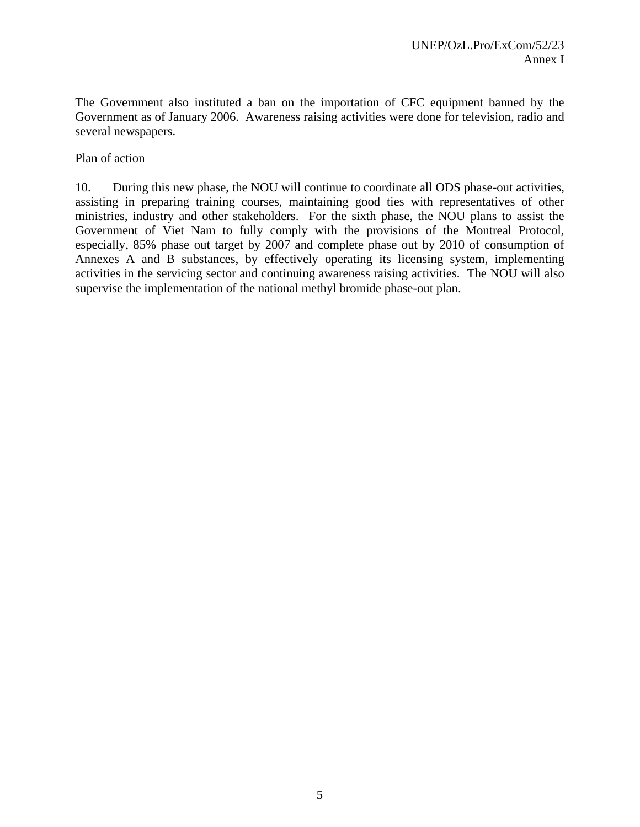The Government also instituted a ban on the importation of CFC equipment banned by the Government as of January 2006. Awareness raising activities were done for television, radio and several newspapers.

#### Plan of action

10. During this new phase, the NOU will continue to coordinate all ODS phase-out activities, assisting in preparing training courses, maintaining good ties with representatives of other ministries, industry and other stakeholders. For the sixth phase, the NOU plans to assist the Government of Viet Nam to fully comply with the provisions of the Montreal Protocol, especially, 85% phase out target by 2007 and complete phase out by 2010 of consumption of Annexes A and B substances, by effectively operating its licensing system, implementing activities in the servicing sector and continuing awareness raising activities. The NOU will also supervise the implementation of the national methyl bromide phase-out plan.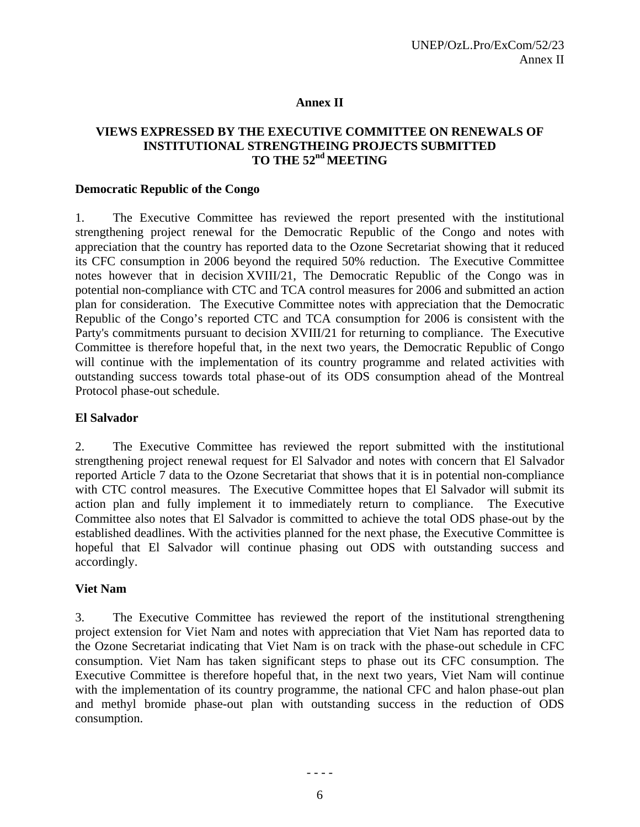#### **Annex II**

### **VIEWS EXPRESSED BY THE EXECUTIVE COMMITTEE ON RENEWALS OF INSTITUTIONAL STRENGTHEING PROJECTS SUBMITTED TO THE 52nd MEETING**

#### **Democratic Republic of the Congo**

1. The Executive Committee has reviewed the report presented with the institutional strengthening project renewal for the Democratic Republic of the Congo and notes with appreciation that the country has reported data to the Ozone Secretariat showing that it reduced its CFC consumption in 2006 beyond the required 50% reduction. The Executive Committee notes however that in decision XVIII/21, The Democratic Republic of the Congo was in potential non-compliance with CTC and TCA control measures for 2006 and submitted an action plan for consideration. The Executive Committee notes with appreciation that the Democratic Republic of the Congo's reported CTC and TCA consumption for 2006 is consistent with the Party's commitments pursuant to decision XVIII/21 for returning to compliance. The Executive Committee is therefore hopeful that, in the next two years, the Democratic Republic of Congo will continue with the implementation of its country programme and related activities with outstanding success towards total phase-out of its ODS consumption ahead of the Montreal Protocol phase-out schedule.

#### **El Salvador**

2. The Executive Committee has reviewed the report submitted with the institutional strengthening project renewal request for El Salvador and notes with concern that El Salvador reported Article 7 data to the Ozone Secretariat that shows that it is in potential non-compliance with CTC control measures. The Executive Committee hopes that El Salvador will submit its action plan and fully implement it to immediately return to compliance. The Executive Committee also notes that El Salvador is committed to achieve the total ODS phase-out by the established deadlines. With the activities planned for the next phase, the Executive Committee is hopeful that El Salvador will continue phasing out ODS with outstanding success and accordingly.

#### **Viet Nam**

3. The Executive Committee has reviewed the report of the institutional strengthening project extension for Viet Nam and notes with appreciation that Viet Nam has reported data to the Ozone Secretariat indicating that Viet Nam is on track with the phase-out schedule in CFC consumption. Viet Nam has taken significant steps to phase out its CFC consumption. The Executive Committee is therefore hopeful that, in the next two years, Viet Nam will continue with the implementation of its country programme, the national CFC and halon phase-out plan and methyl bromide phase-out plan with outstanding success in the reduction of ODS consumption.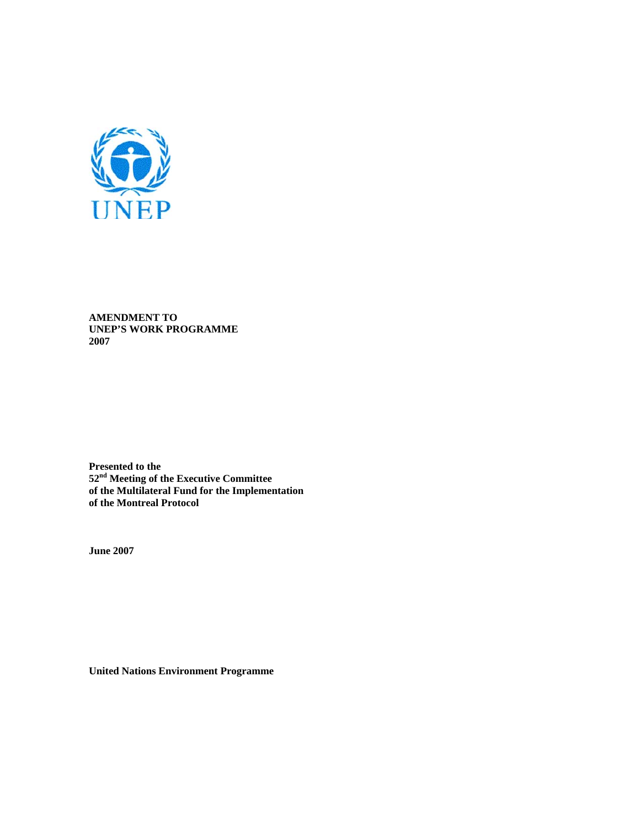

**AMENDMENT TO UNEP'S WORK PROGRAMME 2007** 

**Presented to the 52nd Meeting of the Executive Committee of the Multilateral Fund for the Implementation of the Montreal Protocol** 

**June 2007** 

**United Nations Environment Programme**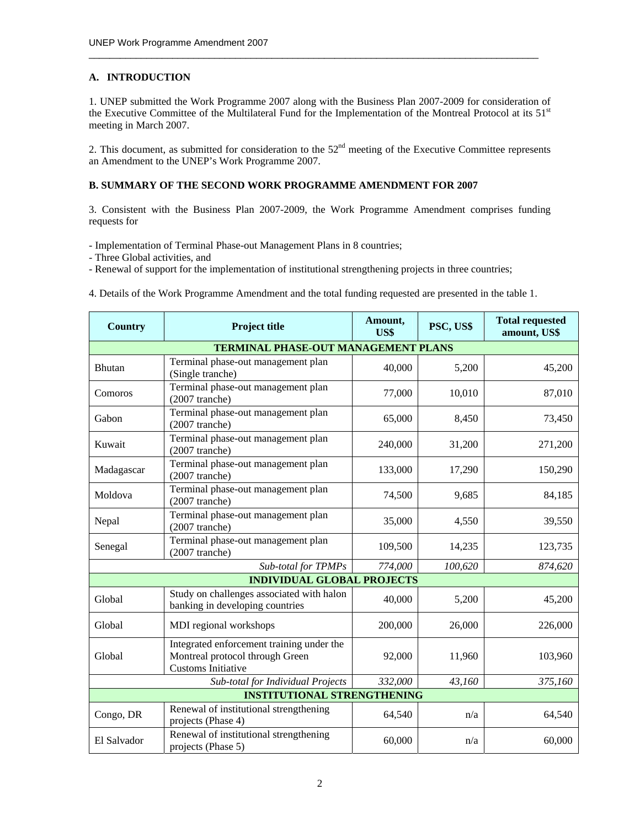#### **A. INTRODUCTION**

1. UNEP submitted the Work Programme 2007 along with the Business Plan 2007-2009 for consideration of the Executive Committee of the Multilateral Fund for the Implementation of the Montreal Protocol at its 51<sup>st</sup> meeting in March 2007.

 $\_$  , and the set of the set of the set of the set of the set of the set of the set of the set of the set of the set of the set of the set of the set of the set of the set of the set of the set of the set of the set of th

2. This document, as submitted for consideration to the  $52<sup>nd</sup>$  meeting of the Executive Committee represents an Amendment to the UNEP's Work Programme 2007.

#### **B. SUMMARY OF THE SECOND WORK PROGRAMME AMENDMENT FOR 2007**

3. Consistent with the Business Plan 2007-2009, the Work Programme Amendment comprises funding requests for

- Implementation of Terminal Phase-out Management Plans in 8 countries;

- Three Global activities, and

- Renewal of support for the implementation of institutional strengthening projects in three countries;

4. Details of the Work Programme Amendment and the total funding requested are presented in the table 1.

| <b>Country</b>                     | <b>Project title</b>                                                                               |         | PSC, US\$ | <b>Total requested</b><br>amount, US\$ |  |  |
|------------------------------------|----------------------------------------------------------------------------------------------------|---------|-----------|----------------------------------------|--|--|
|                                    | <b>TERMINAL PHASE-OUT MANAGEMENT PLANS</b>                                                         |         |           |                                        |  |  |
| <b>Bhutan</b>                      | Terminal phase-out management plan<br>(Single tranche)                                             | 40,000  | 5,200     | 45,200                                 |  |  |
| Comoros                            | Terminal phase-out management plan<br>$(2007$ tranche)                                             | 77,000  | 10,010    | 87,010                                 |  |  |
| Gabon                              | Terminal phase-out management plan<br>$(2007$ tranche)                                             | 65,000  | 8,450     | 73,450                                 |  |  |
| Kuwait                             | Terminal phase-out management plan<br>$(2007$ tranche)                                             | 240,000 | 31,200    | 271,200                                |  |  |
| Madagascar                         | Terminal phase-out management plan<br>$(2007$ tranche)                                             | 133,000 | 17,290    | 150,290                                |  |  |
| Moldova                            | Terminal phase-out management plan<br>$(2007$ tranche)                                             | 74,500  | 9,685     | 84,185                                 |  |  |
| Nepal                              | Terminal phase-out management plan<br>$(2007$ tranche)                                             | 35,000  | 4,550     | 39,550                                 |  |  |
| Senegal                            | Terminal phase-out management plan<br>$(2007$ tranche)                                             | 109,500 | 14,235    | 123,735                                |  |  |
|                                    | Sub-total for TPMPs                                                                                | 774,000 | 100,620   | 874,620                                |  |  |
| <b>INDIVIDUAL GLOBAL PROJECTS</b>  |                                                                                                    |         |           |                                        |  |  |
| Global                             | Study on challenges associated with halon<br>banking in developing countries                       | 40,000  | 5,200     | 45,200                                 |  |  |
| Global                             | MDI regional workshops                                                                             | 200,000 | 26,000    | 226,000                                |  |  |
| Global                             | Integrated enforcement training under the<br>Montreal protocol through Green<br>Customs Initiative | 92,000  | 11,960    | 103,960                                |  |  |
|                                    | Sub-total for Individual Projects                                                                  | 332,000 | 43,160    | 375,160                                |  |  |
| <b>INSTITUTIONAL STRENGTHENING</b> |                                                                                                    |         |           |                                        |  |  |
| Congo, DR                          | Renewal of institutional strengthening<br>projects (Phase 4)                                       | 64,540  | n/a       | 64,540                                 |  |  |
| El Salvador                        | Renewal of institutional strengthening<br>projects (Phase 5)                                       | 60,000  | n/a       | 60,000                                 |  |  |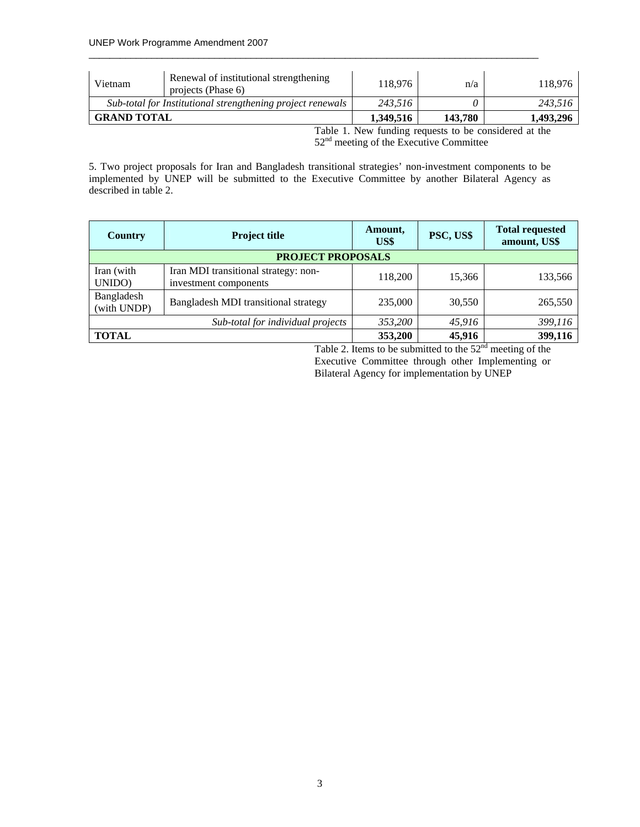| Renewal of institutional strengthening<br>Vietnam<br>projects (Phase 6) |  | 118.976   | n/a     | 118.976   |
|-------------------------------------------------------------------------|--|-----------|---------|-----------|
| Sub-total for Institutional strengthening project renewals              |  | 243.516   |         | 243.516   |
| <b>GRAND TOTAL</b>                                                      |  | 1.349.516 | 143.780 | 1,493,296 |

Table 1. New funding requests to be considered at the 52nd meeting of the Executive Committee

5. Two project proposals for Iran and Bangladesh transitional strategies' non-investment components to be implemented by UNEP will be submitted to the Executive Committee by another Bilateral Agency as described in table 2.

| Country                           | <b>Project title</b>                                          | Amount,<br>US\$ | PSC, US\$ | <b>Total requested</b><br>amount, US\$ |
|-----------------------------------|---------------------------------------------------------------|-----------------|-----------|----------------------------------------|
| <b>PROJECT PROPOSALS</b>          |                                                               |                 |           |                                        |
| Iran (with<br>UNIDO)              | Iran MDI transitional strategy: non-<br>investment components | 118,200         | 15,366    | 133,566                                |
| Bangladesh<br>(with UNDP)         | Bangladesh MDI transitional strategy                          | 235,000         | 30,550    | 265,550                                |
| Sub-total for individual projects |                                                               | 353,200         | 45,916    | 399,116                                |
| <b>TOTAL</b>                      |                                                               | 353,200         | 45,916    | 399,116                                |

Table 2. Items to be submitted to the  $52<sup>nd</sup>$  meeting of the Executive Committee through other Implementing or Bilateral Agency for implementation by UNEP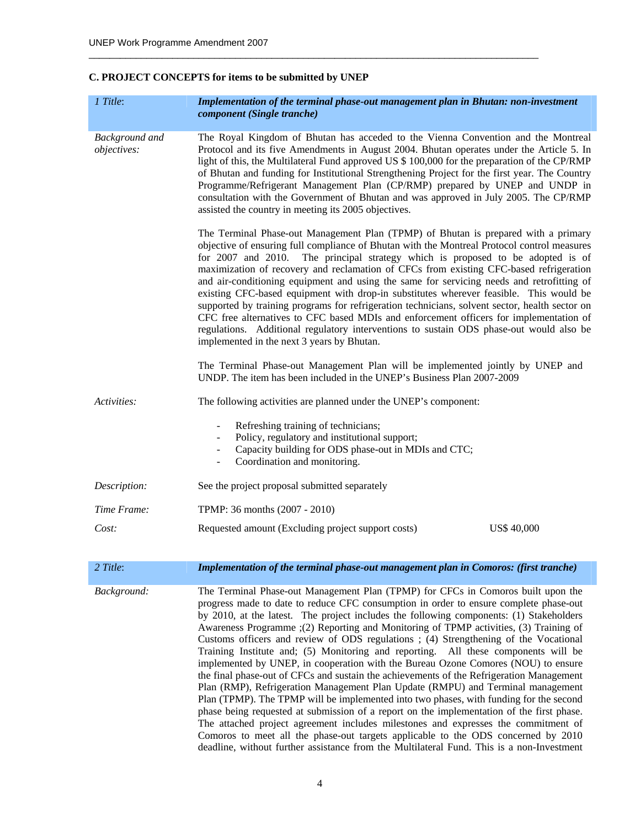## **C. PROJECT CONCEPTS for items to be submitted by UNEP**

| 1 Title:                             | Implementation of the terminal phase-out management plan in Bhutan: non-investment<br>component (Single tranche)                                                                                                                                                                                                                                                                                                                                                                                                                                                                                                                                                                                                                                                                                                                                                                                                                                                                                                                                                                                                                                                                                                                                                                |  |
|--------------------------------------|---------------------------------------------------------------------------------------------------------------------------------------------------------------------------------------------------------------------------------------------------------------------------------------------------------------------------------------------------------------------------------------------------------------------------------------------------------------------------------------------------------------------------------------------------------------------------------------------------------------------------------------------------------------------------------------------------------------------------------------------------------------------------------------------------------------------------------------------------------------------------------------------------------------------------------------------------------------------------------------------------------------------------------------------------------------------------------------------------------------------------------------------------------------------------------------------------------------------------------------------------------------------------------|--|
| <b>Background</b> and<br>objectives: | The Royal Kingdom of Bhutan has acceded to the Vienna Convention and the Montreal<br>Protocol and its five Amendments in August 2004. Bhutan operates under the Article 5. In<br>light of this, the Multilateral Fund approved US \$ 100,000 for the preparation of the CP/RMP<br>of Bhutan and funding for Institutional Strengthening Project for the first year. The Country<br>Programme/Refrigerant Management Plan (CP/RMP) prepared by UNEP and UNDP in<br>consultation with the Government of Bhutan and was approved in July 2005. The CP/RMP<br>assisted the country in meeting its 2005 objectives.                                                                                                                                                                                                                                                                                                                                                                                                                                                                                                                                                                                                                                                                  |  |
|                                      | The Terminal Phase-out Management Plan (TPMP) of Bhutan is prepared with a primary<br>objective of ensuring full compliance of Bhutan with the Montreal Protocol control measures<br>for 2007 and 2010. The principal strategy which is proposed to be adopted is of<br>maximization of recovery and reclamation of CFCs from existing CFC-based refrigeration<br>and air-conditioning equipment and using the same for servicing needs and retrofitting of<br>existing CFC-based equipment with drop-in substitutes wherever feasible. This would be<br>supported by training programs for refrigeration technicians, solvent sector, health sector on<br>CFC free alternatives to CFC based MDIs and enforcement officers for implementation of<br>regulations. Additional regulatory interventions to sustain ODS phase-out would also be<br>implemented in the next 3 years by Bhutan.                                                                                                                                                                                                                                                                                                                                                                                      |  |
|                                      | The Terminal Phase-out Management Plan will be implemented jointly by UNEP and<br>UNDP. The item has been included in the UNEP's Business Plan 2007-2009                                                                                                                                                                                                                                                                                                                                                                                                                                                                                                                                                                                                                                                                                                                                                                                                                                                                                                                                                                                                                                                                                                                        |  |
| Activities:                          | The following activities are planned under the UNEP's component:                                                                                                                                                                                                                                                                                                                                                                                                                                                                                                                                                                                                                                                                                                                                                                                                                                                                                                                                                                                                                                                                                                                                                                                                                |  |
|                                      | Refreshing training of technicians;<br>Policy, regulatory and institutional support;<br>Capacity building for ODS phase-out in MDIs and CTC;<br>$\blacksquare$<br>Coordination and monitoring.<br>$\blacksquare$                                                                                                                                                                                                                                                                                                                                                                                                                                                                                                                                                                                                                                                                                                                                                                                                                                                                                                                                                                                                                                                                |  |
| Description:                         | See the project proposal submitted separately                                                                                                                                                                                                                                                                                                                                                                                                                                                                                                                                                                                                                                                                                                                                                                                                                                                                                                                                                                                                                                                                                                                                                                                                                                   |  |
| Time Frame:                          | TPMP: 36 months (2007 - 2010)                                                                                                                                                                                                                                                                                                                                                                                                                                                                                                                                                                                                                                                                                                                                                                                                                                                                                                                                                                                                                                                                                                                                                                                                                                                   |  |
| Cost:                                | Requested amount (Excluding project support costs)<br><b>US\$ 40,000</b>                                                                                                                                                                                                                                                                                                                                                                                                                                                                                                                                                                                                                                                                                                                                                                                                                                                                                                                                                                                                                                                                                                                                                                                                        |  |
| 2 Title:                             | Implementation of the terminal phase-out management plan in Comoros: (first tranche)                                                                                                                                                                                                                                                                                                                                                                                                                                                                                                                                                                                                                                                                                                                                                                                                                                                                                                                                                                                                                                                                                                                                                                                            |  |
| Background:                          | The Terminal Phase-out Management Plan (TPMP) for CFCs in Comoros built upon the<br>progress made to date to reduce CFC consumption in order to ensure complete phase-out<br>by 2010, at the latest. The project includes the following components: (1) Stakeholders<br>Awareness Programme ; (2) Reporting and Monitoring of TPMP activities, (3) Training of<br>Customs officers and review of ODS regulations ; (4) Strengthening of the Vocational<br>Training Institute and; (5) Monitoring and reporting. All these components will be<br>implemented by UNEP, in cooperation with the Bureau Ozone Comores (NOU) to ensure<br>the final phase-out of CFCs and sustain the achievements of the Refrigeration Management<br>Plan (RMP), Refrigeration Management Plan Update (RMPU) and Terminal management<br>Plan (TPMP). The TPMP will be implemented into two phases, with funding for the second<br>phase being requested at submission of a report on the implementation of the first phase.<br>The attached project agreement includes milestones and expresses the commitment of<br>Comoros to meet all the phase-out targets applicable to the ODS concerned by 2010<br>deadline, without further assistance from the Multilateral Fund. This is a non-Investment |  |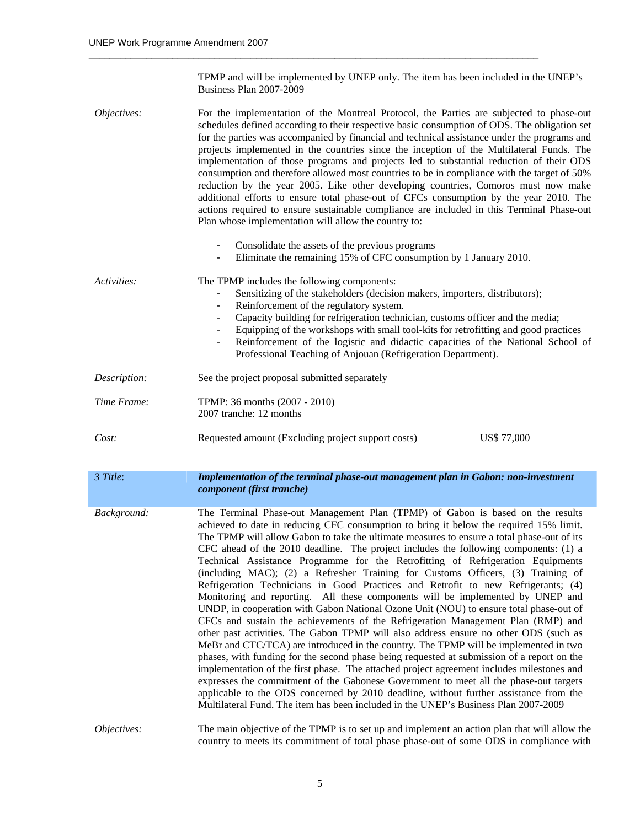TPMP and will be implemented by UNEP only. The item has been included in the UNEP's Business Plan 2007-2009

| Objectives:  | For the implementation of the Montreal Protocol, the Parties are subjected to phase-out<br>schedules defined according to their respective basic consumption of ODS. The obligation set<br>for the parties was accompanied by financial and technical assistance under the programs and<br>projects implemented in the countries since the inception of the Multilateral Funds. The<br>implementation of those programs and projects led to substantial reduction of their ODS<br>consumption and therefore allowed most countries to be in compliance with the target of 50%<br>reduction by the year 2005. Like other developing countries, Comoros must now make<br>additional efforts to ensure total phase-out of CFCs consumption by the year 2010. The<br>actions required to ensure sustainable compliance are included in this Terminal Phase-out<br>Plan whose implementation will allow the country to:                                                                                                                                                                                                                                                                                                                                                                                                                                                                                                                                                                                                                            |
|--------------|-----------------------------------------------------------------------------------------------------------------------------------------------------------------------------------------------------------------------------------------------------------------------------------------------------------------------------------------------------------------------------------------------------------------------------------------------------------------------------------------------------------------------------------------------------------------------------------------------------------------------------------------------------------------------------------------------------------------------------------------------------------------------------------------------------------------------------------------------------------------------------------------------------------------------------------------------------------------------------------------------------------------------------------------------------------------------------------------------------------------------------------------------------------------------------------------------------------------------------------------------------------------------------------------------------------------------------------------------------------------------------------------------------------------------------------------------------------------------------------------------------------------------------------------------|
|              | Consolidate the assets of the previous programs<br>Eliminate the remaining 15% of CFC consumption by 1 January 2010.                                                                                                                                                                                                                                                                                                                                                                                                                                                                                                                                                                                                                                                                                                                                                                                                                                                                                                                                                                                                                                                                                                                                                                                                                                                                                                                                                                                                                          |
| Activities:  | The TPMP includes the following components:<br>Sensitizing of the stakeholders (decision makers, importers, distributors);<br>Reinforcement of the regulatory system.<br>Capacity building for refrigeration technician, customs officer and the media;<br>Equipping of the workshops with small tool-kits for retrofitting and good practices<br>Reinforcement of the logistic and didactic capacities of the National School of<br>Professional Teaching of Anjouan (Refrigeration Department).                                                                                                                                                                                                                                                                                                                                                                                                                                                                                                                                                                                                                                                                                                                                                                                                                                                                                                                                                                                                                                             |
| Description: | See the project proposal submitted separately                                                                                                                                                                                                                                                                                                                                                                                                                                                                                                                                                                                                                                                                                                                                                                                                                                                                                                                                                                                                                                                                                                                                                                                                                                                                                                                                                                                                                                                                                                 |
| Time Frame:  | TPMP: 36 months (2007 - 2010)<br>2007 tranche: 12 months                                                                                                                                                                                                                                                                                                                                                                                                                                                                                                                                                                                                                                                                                                                                                                                                                                                                                                                                                                                                                                                                                                                                                                                                                                                                                                                                                                                                                                                                                      |
| Cost:        | <b>US\$ 77,000</b><br>Requested amount (Excluding project support costs)                                                                                                                                                                                                                                                                                                                                                                                                                                                                                                                                                                                                                                                                                                                                                                                                                                                                                                                                                                                                                                                                                                                                                                                                                                                                                                                                                                                                                                                                      |
| 3 Title:     | Implementation of the terminal phase-out management plan in Gabon: non-investment<br>component (first tranche)                                                                                                                                                                                                                                                                                                                                                                                                                                                                                                                                                                                                                                                                                                                                                                                                                                                                                                                                                                                                                                                                                                                                                                                                                                                                                                                                                                                                                                |
| Background:  | The Terminal Phase-out Management Plan (TPMP) of Gabon is based on the results<br>achieved to date in reducing CFC consumption to bring it below the required 15% limit.<br>The TPMP will allow Gabon to take the ultimate measures to ensure a total phase-out of its<br>CFC ahead of the 2010 deadline. The project includes the following components: (1) a<br>Technical Assistance Programme for the Retrofitting of Refrigeration Equipments<br>(including MAC); (2) a Refresher Training for Customs Officers, (3) Training of<br>Refrigeration Technicians in Good Practices and Retrofit to new Refrigerants; (4)<br>Monitoring and reporting. All these components will be implemented by UNEP and<br>UNDP, in cooperation with Gabon National Ozone Unit (NOU) to ensure total phase-out of<br>CFCs and sustain the achievements of the Refrigeration Management Plan (RMP) and<br>other past activities. The Gabon TPMP will also address ensure no other ODS (such as<br>MeBr and CTC/TCA) are introduced in the country. The TPMP will be implemented in two<br>phases, with funding for the second phase being requested at submission of a report on the<br>implementation of the first phase. The attached project agreement includes milestones and<br>expresses the commitment of the Gabonese Government to meet all the phase-out targets<br>applicable to the ODS concerned by 2010 deadline, without further assistance from the<br>Multilateral Fund. The item has been included in the UNEP's Business Plan 2007-2009 |
| Objectives:  | The main objective of the TPMP is to set up and implement an action plan that will allow the<br>country to meets its commitment of total phase phase-out of some ODS in compliance with                                                                                                                                                                                                                                                                                                                                                                                                                                                                                                                                                                                                                                                                                                                                                                                                                                                                                                                                                                                                                                                                                                                                                                                                                                                                                                                                                       |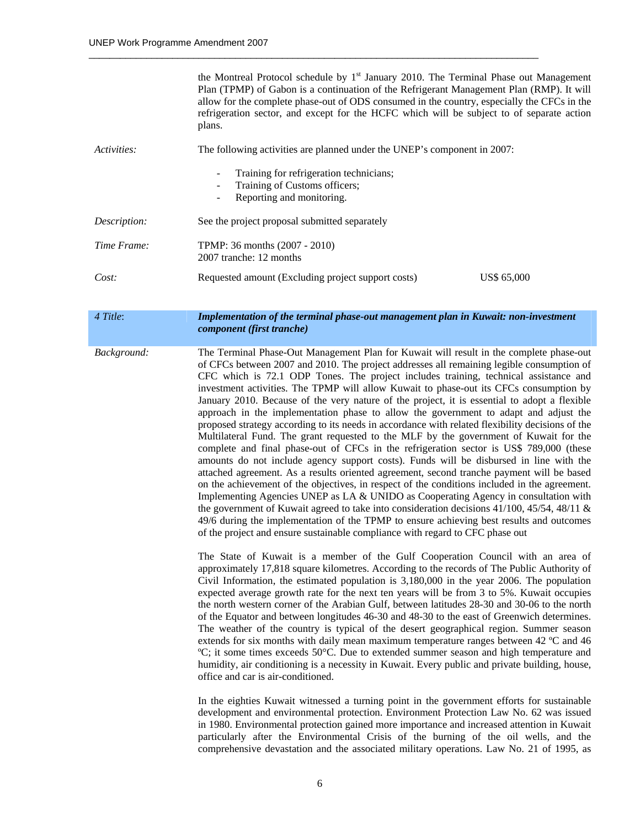|              | the Montreal Protocol schedule by $1st$ January 2010. The Terminal Phase out Management<br>Plan (TPMP) of Gabon is a continuation of the Refrigerant Management Plan (RMP). It will<br>allow for the complete phase-out of ODS consumed in the country, especially the CFCs in the<br>refrigeration sector, and except for the HCFC which will be subject to of separate action<br>plans.                                                                                                                                                                                                                                                                                                                                                                                                                                                                                                                                                                                                                                                     |  |
|--------------|-----------------------------------------------------------------------------------------------------------------------------------------------------------------------------------------------------------------------------------------------------------------------------------------------------------------------------------------------------------------------------------------------------------------------------------------------------------------------------------------------------------------------------------------------------------------------------------------------------------------------------------------------------------------------------------------------------------------------------------------------------------------------------------------------------------------------------------------------------------------------------------------------------------------------------------------------------------------------------------------------------------------------------------------------|--|
| Activities:  | The following activities are planned under the UNEP's component in 2007:                                                                                                                                                                                                                                                                                                                                                                                                                                                                                                                                                                                                                                                                                                                                                                                                                                                                                                                                                                      |  |
|              | Training for refrigeration technicians;<br>Training of Customs officers;<br>Reporting and monitoring.                                                                                                                                                                                                                                                                                                                                                                                                                                                                                                                                                                                                                                                                                                                                                                                                                                                                                                                                         |  |
| Description: | See the project proposal submitted separately                                                                                                                                                                                                                                                                                                                                                                                                                                                                                                                                                                                                                                                                                                                                                                                                                                                                                                                                                                                                 |  |
| Time Frame:  | TPMP: 36 months (2007 - 2010)<br>2007 tranche: 12 months                                                                                                                                                                                                                                                                                                                                                                                                                                                                                                                                                                                                                                                                                                                                                                                                                                                                                                                                                                                      |  |
| Cost:        | Requested amount (Excluding project support costs)<br>US\$ 65,000                                                                                                                                                                                                                                                                                                                                                                                                                                                                                                                                                                                                                                                                                                                                                                                                                                                                                                                                                                             |  |
| 4 Title:     | Implementation of the terminal phase-out management plan in Kuwait: non-investment<br>component (first tranche)                                                                                                                                                                                                                                                                                                                                                                                                                                                                                                                                                                                                                                                                                                                                                                                                                                                                                                                               |  |
| Background:  | The Terminal Phase-Out Management Plan for Kuwait will result in the complete phase-out<br>of CFCs between 2007 and 2010. The project addresses all remaining legible consumption of<br>CFC which is 72.1 ODP Tones. The project includes training, technical assistance and<br>investment activities. The TPMP will allow Kuwait to phase-out its CFCs consumption by<br>January 2010. Because of the very nature of the project, it is essential to adopt a flexible<br>approach in the implementation phase to allow the government to adapt and adjust the<br>proposed strategy according to its needs in accordance with related flexibility decisions of the<br>Multilateral Fund. The grant requested to the MLF by the government of Kuwait for the<br>complete and final phase-out of CFCs in the refrigeration sector is US\$ 789,000 (these<br>amounts do not include agency support costs). Funds will be disbursed in line with the<br>attached agreement. As a results oriented agreement, second tranche payment will be based |  |

on the achievement of the objectives, in respect of the conditions included in the agreement. Implementing Agencies UNEP as LA & UNIDO as Cooperating Agency in consultation with the government of Kuwait agreed to take into consideration decisions 41/100, 45/54, 48/11 & 49/6 during the implementation of the TPMP to ensure achieving best results and outcomes of the project and ensure sustainable compliance with regard to CFC phase out

The State of Kuwait is a member of the Gulf Cooperation Council with an area of approximately 17,818 square kilometres. According to the records of The Public Authority of Civil Information, the estimated population is 3,180,000 in the year 2006. The population expected average growth rate for the next ten years will be from 3 to 5%. Kuwait occupies the north western corner of the Arabian Gulf, between latitudes 28-30 and 30-06 to the north of the Equator and between longitudes 46-30 and 48-30 to the east of Greenwich determines. The weather of the country is typical of the desert geographical region. Summer season extends for six months with daily mean maximum temperature ranges between 42 ºC and 46 ºC; it some times exceeds 50°C. Due to extended summer season and high temperature and humidity, air conditioning is a necessity in Kuwait. Every public and private building, house, office and car is air-conditioned.

In the eighties Kuwait witnessed a turning point in the government efforts for sustainable development and environmental protection. Environment Protection Law No. 62 was issued in 1980. Environmental protection gained more importance and increased attention in Kuwait particularly after the Environmental Crisis of the burning of the oil wells, and the comprehensive devastation and the associated military operations. Law No. 21 of 1995, as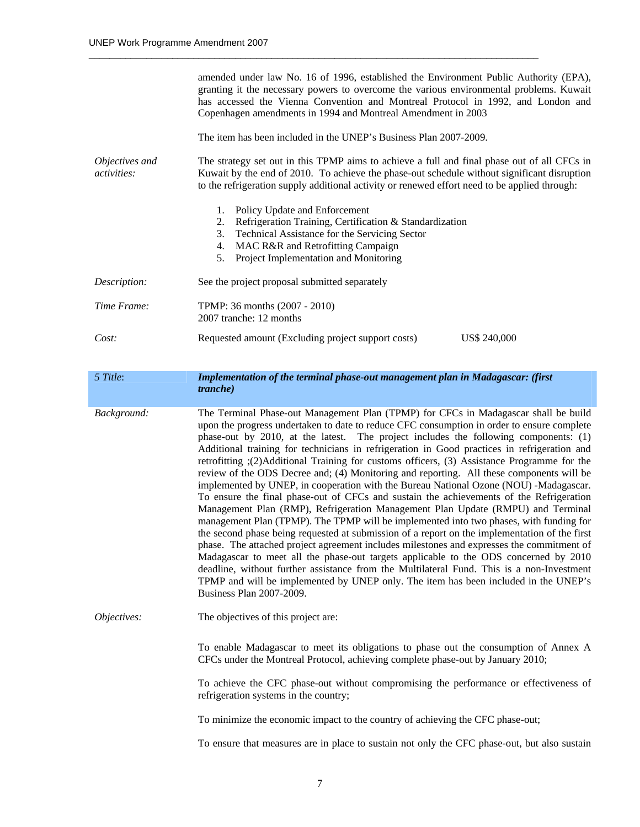|                                      | amended under law No. 16 of 1996, established the Environment Public Authority (EPA),<br>granting it the necessary powers to overcome the various environmental problems. Kuwait<br>has accessed the Vienna Convention and Montreal Protocol in 1992, and London and<br>Copenhagen amendments in 1994 and Montreal Amendment in 2003                                                                                                                                                                                                                                                                                                                        |  |  |
|--------------------------------------|-------------------------------------------------------------------------------------------------------------------------------------------------------------------------------------------------------------------------------------------------------------------------------------------------------------------------------------------------------------------------------------------------------------------------------------------------------------------------------------------------------------------------------------------------------------------------------------------------------------------------------------------------------------|--|--|
|                                      | The item has been included in the UNEP's Business Plan 2007-2009.                                                                                                                                                                                                                                                                                                                                                                                                                                                                                                                                                                                           |  |  |
| Objectives and<br><i>activities:</i> | The strategy set out in this TPMP aims to achieve a full and final phase out of all CFCs in<br>Kuwait by the end of 2010. To achieve the phase-out schedule without significant disruption<br>to the refrigeration supply additional activity or renewed effort need to be applied through:                                                                                                                                                                                                                                                                                                                                                                 |  |  |
|                                      | Policy Update and Enforcement<br>1.<br>Refrigeration Training, Certification & Standardization<br>2.<br>Technical Assistance for the Servicing Sector<br>3.<br>4. MAC R&R and Retrofitting Campaign<br>Project Implementation and Monitoring<br>5.                                                                                                                                                                                                                                                                                                                                                                                                          |  |  |
| Description:                         | See the project proposal submitted separately                                                                                                                                                                                                                                                                                                                                                                                                                                                                                                                                                                                                               |  |  |
| Time Frame:                          | TPMP: 36 months (2007 - 2010)<br>2007 tranche: 12 months                                                                                                                                                                                                                                                                                                                                                                                                                                                                                                                                                                                                    |  |  |
| Cost:                                | Requested amount (Excluding project support costs)<br>US\$ 240,000                                                                                                                                                                                                                                                                                                                                                                                                                                                                                                                                                                                          |  |  |
| 5 Title:                             | Implementation of the terminal phase-out management plan in Madagascar: (first<br><i>tranche</i> )                                                                                                                                                                                                                                                                                                                                                                                                                                                                                                                                                          |  |  |
| Background:                          | The Terminal Phase-out Management Plan (TPMP) for CFCs in Madagascar shall be build<br>upon the progress undertaken to date to reduce CFC consumption in order to ensure complete<br>phase-out by 2010, at the latest. The project includes the following components: (1)<br>Additional training for technicians in refrigeration in Good practices in refrigeration and<br>retrofitting (2)Additional Training for customs officers, (3) Assistance Programme for the<br>review of the ODS Decree and; (4) Monitoring and reporting. All these components will be<br>implemented by UNEP, in cooperation with the Bureau National Ozone (NOU) -Madagascar. |  |  |

To ensure the final phase-out of CFCs and sustain the achievements of the Refrigeration Management Plan (RMP), Refrigeration Management Plan Update (RMPU) and Terminal management Plan (TPMP). The TPMP will be implemented into two phases, with funding for the second phase being requested at submission of a report on the implementation of the first phase. The attached project agreement includes milestones and expresses the commitment of Madagascar to meet all the phase-out targets applicable to the ODS concerned by 2010 deadline, without further assistance from the Multilateral Fund. This is a non-Investment TPMP and will be implemented by UNEP only. The item has been included in the UNEP's Business Plan 2007-2009.

#### *Objectives:* The objectives of this project are:

To enable Madagascar to meet its obligations to phase out the consumption of Annex A CFCs under the Montreal Protocol, achieving complete phase-out by January 2010;

To achieve the CFC phase-out without compromising the performance or effectiveness of refrigeration systems in the country;

To minimize the economic impact to the country of achieving the CFC phase-out;

To ensure that measures are in place to sustain not only the CFC phase-out, but also sustain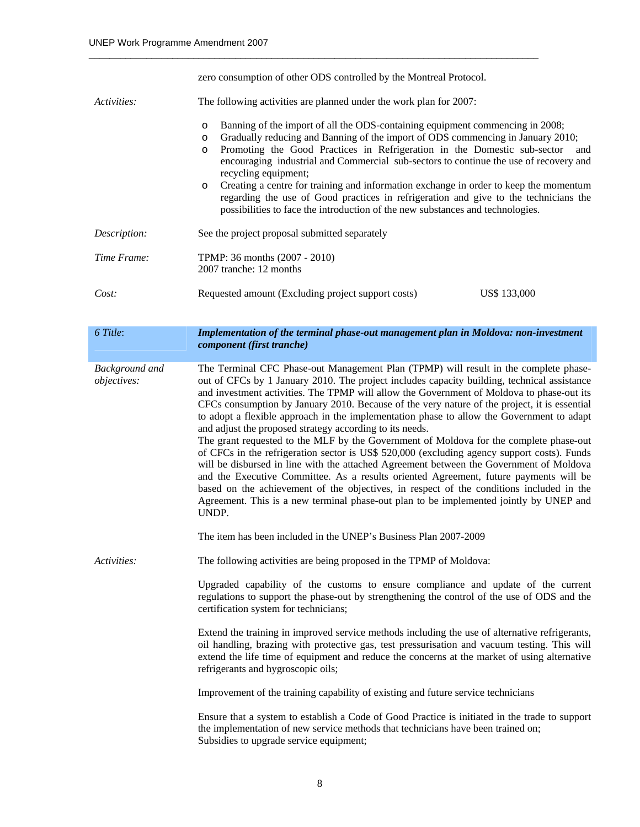|                                      | zero consumption of other ODS controlled by the Montreal Protocol.                                                                                                                                                                                                                                                                                                                                                                                                                                                                                                                                                                                                                                                                                                                                                                                                                                                                                                                                                                                                                                                                                                                        |  |
|--------------------------------------|-------------------------------------------------------------------------------------------------------------------------------------------------------------------------------------------------------------------------------------------------------------------------------------------------------------------------------------------------------------------------------------------------------------------------------------------------------------------------------------------------------------------------------------------------------------------------------------------------------------------------------------------------------------------------------------------------------------------------------------------------------------------------------------------------------------------------------------------------------------------------------------------------------------------------------------------------------------------------------------------------------------------------------------------------------------------------------------------------------------------------------------------------------------------------------------------|--|
| Activities:                          | The following activities are planned under the work plan for 2007:                                                                                                                                                                                                                                                                                                                                                                                                                                                                                                                                                                                                                                                                                                                                                                                                                                                                                                                                                                                                                                                                                                                        |  |
|                                      | Banning of the import of all the ODS-containing equipment commencing in 2008;<br>$\circ$<br>Gradually reducing and Banning of the import of ODS commencing in January 2010;<br>$\circ$<br>Promoting the Good Practices in Refrigeration in the Domestic sub-sector<br>and<br>$\circ$<br>encouraging industrial and Commercial sub-sectors to continue the use of recovery and<br>recycling equipment;<br>Creating a centre for training and information exchange in order to keep the momentum<br>$\circ$<br>regarding the use of Good practices in refrigeration and give to the technicians the<br>possibilities to face the introduction of the new substances and technologies.                                                                                                                                                                                                                                                                                                                                                                                                                                                                                                       |  |
| Description:                         | See the project proposal submitted separately                                                                                                                                                                                                                                                                                                                                                                                                                                                                                                                                                                                                                                                                                                                                                                                                                                                                                                                                                                                                                                                                                                                                             |  |
| Time Frame:                          | TPMP: 36 months (2007 - 2010)<br>2007 tranche: 12 months                                                                                                                                                                                                                                                                                                                                                                                                                                                                                                                                                                                                                                                                                                                                                                                                                                                                                                                                                                                                                                                                                                                                  |  |
| Cost:                                | Requested amount (Excluding project support costs)<br>US\$ 133,000                                                                                                                                                                                                                                                                                                                                                                                                                                                                                                                                                                                                                                                                                                                                                                                                                                                                                                                                                                                                                                                                                                                        |  |
| 6 Title:                             | Implementation of the terminal phase-out management plan in Moldova: non-investment                                                                                                                                                                                                                                                                                                                                                                                                                                                                                                                                                                                                                                                                                                                                                                                                                                                                                                                                                                                                                                                                                                       |  |
|                                      | component (first tranche)                                                                                                                                                                                                                                                                                                                                                                                                                                                                                                                                                                                                                                                                                                                                                                                                                                                                                                                                                                                                                                                                                                                                                                 |  |
| <b>Background</b> and<br>objectives: | The Terminal CFC Phase-out Management Plan (TPMP) will result in the complete phase-<br>out of CFCs by 1 January 2010. The project includes capacity building, technical assistance<br>and investment activities. The TPMP will allow the Government of Moldova to phase-out its<br>CFCs consumption by January 2010. Because of the very nature of the project, it is essential<br>to adopt a flexible approach in the implementation phase to allow the Government to adapt<br>and adjust the proposed strategy according to its needs.<br>The grant requested to the MLF by the Government of Moldova for the complete phase-out<br>of CFCs in the refrigeration sector is US\$ 520,000 (excluding agency support costs). Funds<br>will be disbursed in line with the attached Agreement between the Government of Moldova<br>and the Executive Committee. As a results oriented Agreement, future payments will be<br>based on the achievement of the objectives, in respect of the conditions included in the<br>Agreement. This is a new terminal phase-out plan to be implemented jointly by UNEP and<br>UNDP.<br>The item has been included in the UNEP's Business Plan 2007-2009 |  |
| Activities:                          | The following activities are being proposed in the TPMP of Moldova:                                                                                                                                                                                                                                                                                                                                                                                                                                                                                                                                                                                                                                                                                                                                                                                                                                                                                                                                                                                                                                                                                                                       |  |
|                                      | Upgraded capability of the customs to ensure compliance and update of the current<br>regulations to support the phase-out by strengthening the control of the use of ODS and the<br>certification system for technicians;                                                                                                                                                                                                                                                                                                                                                                                                                                                                                                                                                                                                                                                                                                                                                                                                                                                                                                                                                                 |  |
|                                      | Extend the training in improved service methods including the use of alternative refrigerants,<br>oil handling, brazing with protective gas, test pressurisation and vacuum testing. This will<br>extend the life time of equipment and reduce the concerns at the market of using alternative<br>refrigerants and hygroscopic oils;                                                                                                                                                                                                                                                                                                                                                                                                                                                                                                                                                                                                                                                                                                                                                                                                                                                      |  |
|                                      | Improvement of the training capability of existing and future service technicians                                                                                                                                                                                                                                                                                                                                                                                                                                                                                                                                                                                                                                                                                                                                                                                                                                                                                                                                                                                                                                                                                                         |  |
|                                      | Ensure that a system to establish a Code of Good Practice is initiated in the trade to support<br>the implementation of new service methods that technicians have been trained on;<br>Subsidies to upgrade service equipment;                                                                                                                                                                                                                                                                                                                                                                                                                                                                                                                                                                                                                                                                                                                                                                                                                                                                                                                                                             |  |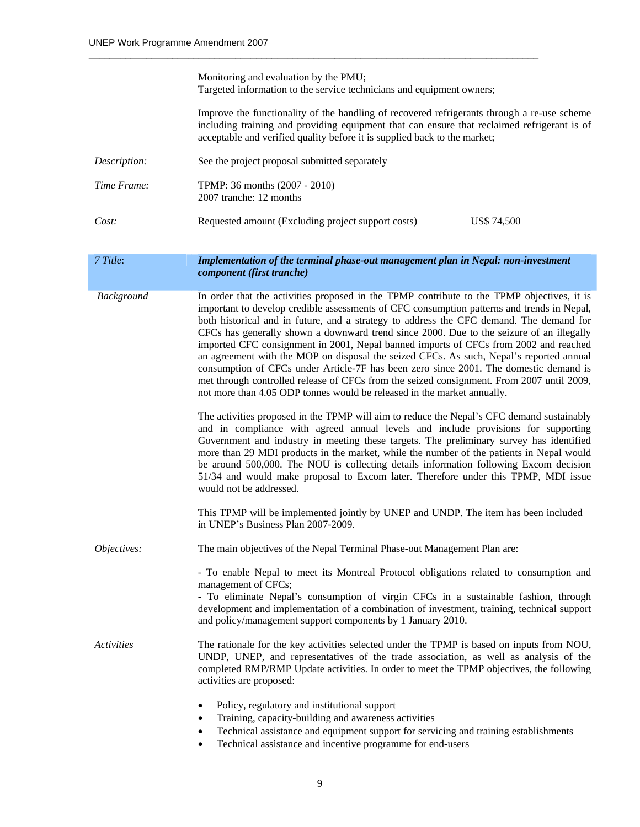|              | Monitoring and evaluation by the PMU;<br>Targeted information to the service technicians and equipment owners;                                                                                                                                                                                                                                                                                                                                                                                                                                                                                                                                                                                                                                                                                                                      |  |  |
|--------------|-------------------------------------------------------------------------------------------------------------------------------------------------------------------------------------------------------------------------------------------------------------------------------------------------------------------------------------------------------------------------------------------------------------------------------------------------------------------------------------------------------------------------------------------------------------------------------------------------------------------------------------------------------------------------------------------------------------------------------------------------------------------------------------------------------------------------------------|--|--|
|              | Improve the functionality of the handling of recovered refrigerants through a re-use scheme<br>including training and providing equipment that can ensure that reclaimed refrigerant is of<br>acceptable and verified quality before it is supplied back to the market;                                                                                                                                                                                                                                                                                                                                                                                                                                                                                                                                                             |  |  |
| Description: | See the project proposal submitted separately                                                                                                                                                                                                                                                                                                                                                                                                                                                                                                                                                                                                                                                                                                                                                                                       |  |  |
| Time Frame:  | TPMP: 36 months (2007 - 2010)<br>2007 tranche: 12 months                                                                                                                                                                                                                                                                                                                                                                                                                                                                                                                                                                                                                                                                                                                                                                            |  |  |
| Cost:        | Requested amount (Excluding project support costs)<br><b>US\$ 74,500</b>                                                                                                                                                                                                                                                                                                                                                                                                                                                                                                                                                                                                                                                                                                                                                            |  |  |
| 7 Title:     | Implementation of the terminal phase-out management plan in Nepal: non-investment<br>component (first tranche)                                                                                                                                                                                                                                                                                                                                                                                                                                                                                                                                                                                                                                                                                                                      |  |  |
| Background   | In order that the activities proposed in the TPMP contribute to the TPMP objectives, it is<br>important to develop credible assessments of CFC consumption patterns and trends in Nepal,<br>both historical and in future, and a strategy to address the CFC demand. The demand for<br>CFCs has generally shown a downward trend since 2000. Due to the seizure of an illegally<br>imported CFC consignment in 2001, Nepal banned imports of CFCs from 2002 and reached<br>an agreement with the MOP on disposal the seized CFCs. As such, Nepal's reported annual<br>consumption of CFCs under Article-7F has been zero since 2001. The domestic demand is<br>met through controlled release of CFCs from the seized consignment. From 2007 until 2009,<br>not more than 4.05 ODP tonnes would be released in the market annually. |  |  |
|              | The activities proposed in the TPMP will aim to reduce the Nepal's CFC demand sustainably<br>and in compliance with agreed annual levels and include provisions for supporting<br>Government and industry in meeting these targets. The preliminary survey has identified<br>more than 29 MDI products in the market, while the number of the patients in Nepal would<br>be around 500,000. The NOU is collecting details information following Excom decision<br>51/34 and would make proposal to Excom later. Therefore under this TPMP, MDI issue<br>would not be addressed.                                                                                                                                                                                                                                                     |  |  |
|              | This TPMP will be implemented jointly by UNEP and UNDP. The item has been included<br>in UNEP's Business Plan 2007-2009.                                                                                                                                                                                                                                                                                                                                                                                                                                                                                                                                                                                                                                                                                                            |  |  |
| Objectives:  | The main objectives of the Nepal Terminal Phase-out Management Plan are:                                                                                                                                                                                                                                                                                                                                                                                                                                                                                                                                                                                                                                                                                                                                                            |  |  |
|              | - To enable Nepal to meet its Montreal Protocol obligations related to consumption and<br>management of CFCs;<br>- To eliminate Nepal's consumption of virgin CFCs in a sustainable fashion, through<br>development and implementation of a combination of investment, training, technical support<br>and policy/management support components by 1 January 2010.                                                                                                                                                                                                                                                                                                                                                                                                                                                                   |  |  |
| Activities   | The rationale for the key activities selected under the TPMP is based on inputs from NOU,<br>UNDP, UNEP, and representatives of the trade association, as well as analysis of the<br>completed RMP/RMP Update activities. In order to meet the TPMP objectives, the following<br>activities are proposed:<br>Policy, regulatory and institutional support<br>٠<br>Training, capacity-building and awareness activities<br>٠<br>Technical assistance and equipment support for servicing and training establishments<br>٠<br>Technical assistance and incentive programme for end-users<br>٠                                                                                                                                                                                                                                         |  |  |
|              |                                                                                                                                                                                                                                                                                                                                                                                                                                                                                                                                                                                                                                                                                                                                                                                                                                     |  |  |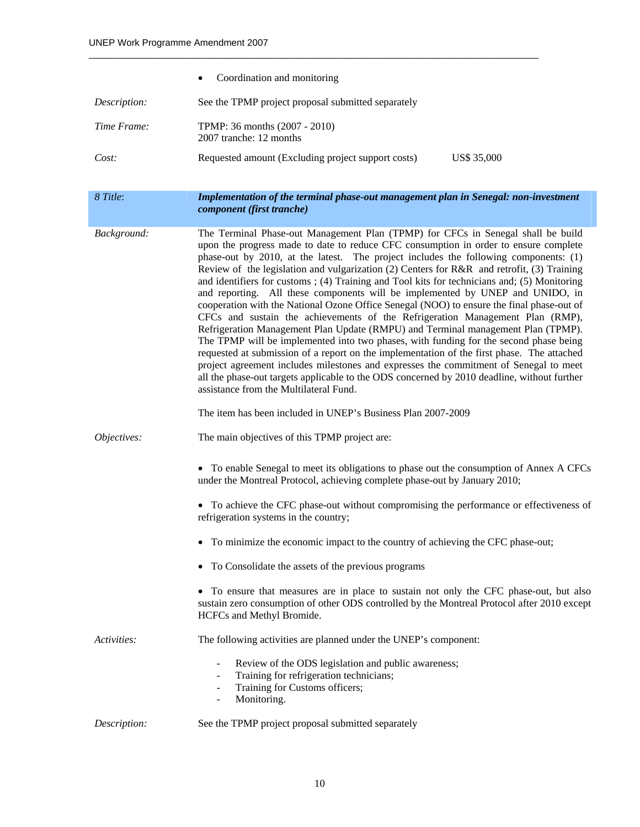|              | Coordination and monitoring<br>٠                                                                                                                                                                                                                                                                                                                                                                                                                                                                                                                                                                                                                                                                                                                                                                                                                                                                                                                                                                                                                                                                                                                                                                                                                                                                          |  |  |
|--------------|-----------------------------------------------------------------------------------------------------------------------------------------------------------------------------------------------------------------------------------------------------------------------------------------------------------------------------------------------------------------------------------------------------------------------------------------------------------------------------------------------------------------------------------------------------------------------------------------------------------------------------------------------------------------------------------------------------------------------------------------------------------------------------------------------------------------------------------------------------------------------------------------------------------------------------------------------------------------------------------------------------------------------------------------------------------------------------------------------------------------------------------------------------------------------------------------------------------------------------------------------------------------------------------------------------------|--|--|
| Description: | See the TPMP project proposal submitted separately                                                                                                                                                                                                                                                                                                                                                                                                                                                                                                                                                                                                                                                                                                                                                                                                                                                                                                                                                                                                                                                                                                                                                                                                                                                        |  |  |
| Time Frame:  | TPMP: 36 months (2007 - 2010)<br>2007 tranche: 12 months                                                                                                                                                                                                                                                                                                                                                                                                                                                                                                                                                                                                                                                                                                                                                                                                                                                                                                                                                                                                                                                                                                                                                                                                                                                  |  |  |
| Cost:        | Requested amount (Excluding project support costs)<br>US\$ 35,000                                                                                                                                                                                                                                                                                                                                                                                                                                                                                                                                                                                                                                                                                                                                                                                                                                                                                                                                                                                                                                                                                                                                                                                                                                         |  |  |
| 8 Title:     | Implementation of the terminal phase-out management plan in Senegal: non-investment<br>component (first tranche)                                                                                                                                                                                                                                                                                                                                                                                                                                                                                                                                                                                                                                                                                                                                                                                                                                                                                                                                                                                                                                                                                                                                                                                          |  |  |
| Background:  | The Terminal Phase-out Management Plan (TPMP) for CFCs in Senegal shall be build<br>upon the progress made to date to reduce CFC consumption in order to ensure complete<br>phase-out by 2010, at the latest. The project includes the following components: (1)<br>Review of the legislation and vulgarization (2) Centers for R&R and retrofit, (3) Training<br>and identifiers for customs; (4) Training and Tool kits for technicians and; (5) Monitoring<br>and reporting. All these components will be implemented by UNEP and UNIDO, in<br>cooperation with the National Ozone Office Senegal (NOO) to ensure the final phase-out of<br>CFCs and sustain the achievements of the Refrigeration Management Plan (RMP),<br>Refrigeration Management Plan Update (RMPU) and Terminal management Plan (TPMP).<br>The TPMP will be implemented into two phases, with funding for the second phase being<br>requested at submission of a report on the implementation of the first phase. The attached<br>project agreement includes milestones and expresses the commitment of Senegal to meet<br>all the phase-out targets applicable to the ODS concerned by 2010 deadline, without further<br>assistance from the Multilateral Fund.<br>The item has been included in UNEP's Business Plan 2007-2009 |  |  |
| Objectives:  | The main objectives of this TPMP project are:                                                                                                                                                                                                                                                                                                                                                                                                                                                                                                                                                                                                                                                                                                                                                                                                                                                                                                                                                                                                                                                                                                                                                                                                                                                             |  |  |
|              | • To enable Senegal to meet its obligations to phase out the consumption of Annex A CFCs<br>under the Montreal Protocol, achieving complete phase-out by January 2010;                                                                                                                                                                                                                                                                                                                                                                                                                                                                                                                                                                                                                                                                                                                                                                                                                                                                                                                                                                                                                                                                                                                                    |  |  |
|              | • To achieve the CFC phase-out without compromising the performance or effectiveness of<br>refrigeration systems in the country;                                                                                                                                                                                                                                                                                                                                                                                                                                                                                                                                                                                                                                                                                                                                                                                                                                                                                                                                                                                                                                                                                                                                                                          |  |  |
|              | To minimize the economic impact to the country of achieving the CFC phase-out;                                                                                                                                                                                                                                                                                                                                                                                                                                                                                                                                                                                                                                                                                                                                                                                                                                                                                                                                                                                                                                                                                                                                                                                                                            |  |  |
|              | To Consolidate the assets of the previous programs                                                                                                                                                                                                                                                                                                                                                                                                                                                                                                                                                                                                                                                                                                                                                                                                                                                                                                                                                                                                                                                                                                                                                                                                                                                        |  |  |
|              | To ensure that measures are in place to sustain not only the CFC phase-out, but also<br>sustain zero consumption of other ODS controlled by the Montreal Protocol after 2010 except<br>HCFCs and Methyl Bromide.                                                                                                                                                                                                                                                                                                                                                                                                                                                                                                                                                                                                                                                                                                                                                                                                                                                                                                                                                                                                                                                                                          |  |  |
| Activities:  | The following activities are planned under the UNEP's component:                                                                                                                                                                                                                                                                                                                                                                                                                                                                                                                                                                                                                                                                                                                                                                                                                                                                                                                                                                                                                                                                                                                                                                                                                                          |  |  |
|              | Review of the ODS legislation and public awareness;<br>Training for refrigeration technicians;<br>Training for Customs officers;<br>۰<br>Monitoring.<br>$\overline{\phantom{a}}$                                                                                                                                                                                                                                                                                                                                                                                                                                                                                                                                                                                                                                                                                                                                                                                                                                                                                                                                                                                                                                                                                                                          |  |  |
| Description: | See the TPMP project proposal submitted separately                                                                                                                                                                                                                                                                                                                                                                                                                                                                                                                                                                                                                                                                                                                                                                                                                                                                                                                                                                                                                                                                                                                                                                                                                                                        |  |  |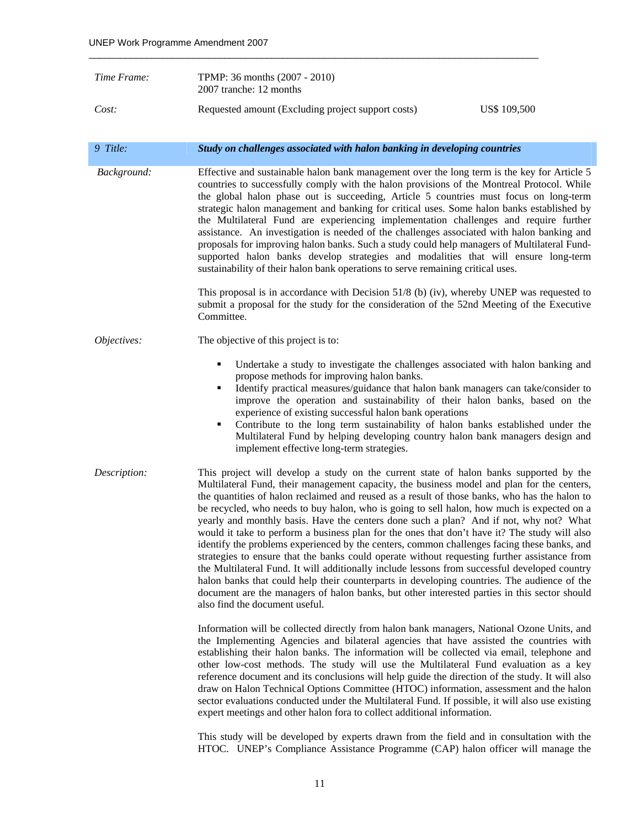| Time Frame:  | TPMP: 36 months (2007 - 2010)<br>2007 tranche: 12 months                                                                                                                                                                                                                                                                                                                                                                                                                                                                                                                                                                                                                                                                                                                                                                                                                                                                                                                                                                                                                                                        |  |  |
|--------------|-----------------------------------------------------------------------------------------------------------------------------------------------------------------------------------------------------------------------------------------------------------------------------------------------------------------------------------------------------------------------------------------------------------------------------------------------------------------------------------------------------------------------------------------------------------------------------------------------------------------------------------------------------------------------------------------------------------------------------------------------------------------------------------------------------------------------------------------------------------------------------------------------------------------------------------------------------------------------------------------------------------------------------------------------------------------------------------------------------------------|--|--|
| Cost:        | Requested amount (Excluding project support costs)<br>US\$ 109,500                                                                                                                                                                                                                                                                                                                                                                                                                                                                                                                                                                                                                                                                                                                                                                                                                                                                                                                                                                                                                                              |  |  |
| 9 Title:     | Study on challenges associated with halon banking in developing countries                                                                                                                                                                                                                                                                                                                                                                                                                                                                                                                                                                                                                                                                                                                                                                                                                                                                                                                                                                                                                                       |  |  |
| Background:  | Effective and sustainable halon bank management over the long term is the key for Article 5<br>countries to successfully comply with the halon provisions of the Montreal Protocol. While<br>the global halon phase out is succeeding, Article 5 countries must focus on long-term<br>strategic halon management and banking for critical uses. Some halon banks established by<br>the Multilateral Fund are experiencing implementation challenges and require further<br>assistance. An investigation is needed of the challenges associated with halon banking and<br>proposals for improving halon banks. Such a study could help managers of Multilateral Fund-<br>supported halon banks develop strategies and modalities that will ensure long-term<br>sustainability of their halon bank operations to serve remaining critical uses.                                                                                                                                                                                                                                                                   |  |  |
|              | This proposal is in accordance with Decision $51/8$ (b) (iv), whereby UNEP was requested to<br>submit a proposal for the study for the consideration of the 52nd Meeting of the Executive<br>Committee.                                                                                                                                                                                                                                                                                                                                                                                                                                                                                                                                                                                                                                                                                                                                                                                                                                                                                                         |  |  |
| Objectives:  | The objective of this project is to:                                                                                                                                                                                                                                                                                                                                                                                                                                                                                                                                                                                                                                                                                                                                                                                                                                                                                                                                                                                                                                                                            |  |  |
|              | Undertake a study to investigate the challenges associated with halon banking and<br>٠<br>propose methods for improving halon banks.<br>Identify practical measures/guidance that halon bank managers can take/consider to<br>٠<br>improve the operation and sustainability of their halon banks, based on the<br>experience of existing successful halon bank operations<br>Contribute to the long term sustainability of halon banks established under the<br>٠<br>Multilateral Fund by helping developing country halon bank managers design and<br>implement effective long-term strategies.                                                                                                                                                                                                                                                                                                                                                                                                                                                                                                                |  |  |
| Description: | This project will develop a study on the current state of halon banks supported by the<br>Multilateral Fund, their management capacity, the business model and plan for the centers,<br>the quantities of halon reclaimed and reused as a result of those banks, who has the halon to<br>be recycled, who needs to buy halon, who is going to sell halon, how much is expected on a<br>yearly and monthly basis. Have the centers done such a plan? And if not, why not? What<br>would it take to perform a business plan for the ones that don't have it? The study will also<br>identify the problems experienced by the centers, common challenges facing these banks, and<br>strategies to ensure that the banks could operate without requesting further assistance from<br>the Multilateral Fund. It will additionally include lessons from successful developed country<br>halon banks that could help their counterparts in developing countries. The audience of the<br>document are the managers of halon banks, but other interested parties in this sector should<br>also find the document useful. |  |  |
|              | Information will be collected directly from halon bank managers, National Ozone Units, and<br>the Implementing Agencies and bilateral agencies that have assisted the countries with<br>establishing their halon banks. The information will be collected via email, telephone and<br>other low-cost methods. The study will use the Multilateral Fund evaluation as a key<br>reference document and its conclusions will help guide the direction of the study. It will also<br>draw on Halon Technical Options Committee (HTOC) information, assessment and the halon<br>sector evaluations conducted under the Multilateral Fund. If possible, it will also use existing                                                                                                                                                                                                                                                                                                                                                                                                                                     |  |  |

This study will be developed by experts drawn from the field and in consultation with the HTOC. UNEP's Compliance Assistance Programme (CAP) halon officer will manage the

expert meetings and other halon fora to collect additional information.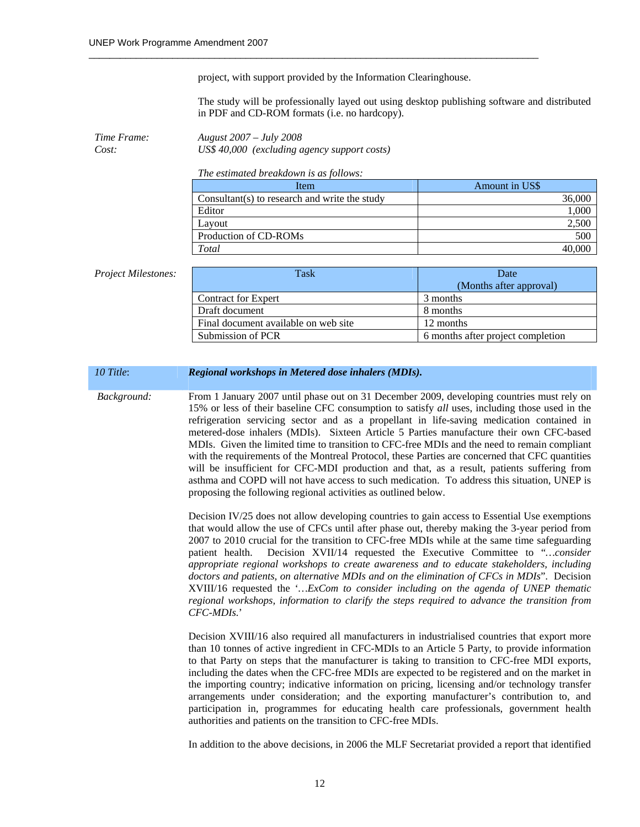project, with support provided by the Information Clearinghouse.

 $\_$  , and the set of the set of the set of the set of the set of the set of the set of the set of the set of the set of the set of the set of the set of the set of the set of the set of the set of the set of the set of th

The study will be professionally layed out using desktop publishing software and distributed in PDF and CD-ROM formats (i.e. no hardcopy).

*Time Frame: August 2007 – July 2008 Cost: US\$ 40,000 (excluding agency support costs)* 

*The estimated breakdown is as follows:* 

| Item                                          | Amount in US\$ |
|-----------------------------------------------|----------------|
| Consultant(s) to research and write the study | 36,000         |
| Editor                                        | 000,           |
| Lavout                                        | 2,500          |
| Production of CD-ROMs                         | 500            |
| Total                                         |                |

#### **Project Milestones:**

| Task                                 | Date                              |
|--------------------------------------|-----------------------------------|
|                                      | (Months after approval)           |
| <b>Contract for Expert</b>           | 3 months                          |
| Draft document                       | 8 months                          |
| Final document available on web site | 12 months                         |
| Submission of PCR                    | 6 months after project completion |

#### *10 Title*: *Regional workshops in Metered dose inhalers (MDIs).*

 *Background:* From 1 January 2007 until phase out on 31 December 2009, developing countries must rely on 15% or less of their baseline CFC consumption to satisfy *all* uses, including those used in the refrigeration servicing sector and as a propellant in life-saving medication contained in metered-dose inhalers (MDIs). Sixteen Article 5 Parties manufacture their own CFC-based MDIs. Given the limited time to transition to CFC-free MDIs and the need to remain compliant with the requirements of the Montreal Protocol, these Parties are concerned that CFC quantities will be insufficient for CFC-MDI production and that, as a result, patients suffering from asthma and COPD will not have access to such medication. To address this situation, UNEP is proposing the following regional activities as outlined below.

> Decision IV/25 does not allow developing countries to gain access to Essential Use exemptions that would allow the use of CFCs until after phase out, thereby making the 3-year period from 2007 to 2010 crucial for the transition to CFC-free MDIs while at the same time safeguarding patient health. Decision XVII/14 requested the Executive Committee to "*…consider appropriate regional workshops to create awareness and to educate stakeholders, including doctors and patients, on alternative MDIs and on the elimination of CFCs in MDIs*". Decision XVIII/16 requested the '*…ExCom to consider including on the agenda of UNEP thematic regional workshops, information to clarify the steps required to advance the transition from CFC-MDIs.*'

> Decision XVIII/16 also required all manufacturers in industrialised countries that export more than 10 tonnes of active ingredient in CFC-MDIs to an Article 5 Party, to provide information to that Party on steps that the manufacturer is taking to transition to CFC-free MDI exports, including the dates when the CFC-free MDIs are expected to be registered and on the market in the importing country; indicative information on pricing, licensing and/or technology transfer arrangements under consideration; and the exporting manufacturer's contribution to, and participation in, programmes for educating health care professionals, government health authorities and patients on the transition to CFC-free MDIs.

> In addition to the above decisions, in 2006 the MLF Secretariat provided a report that identified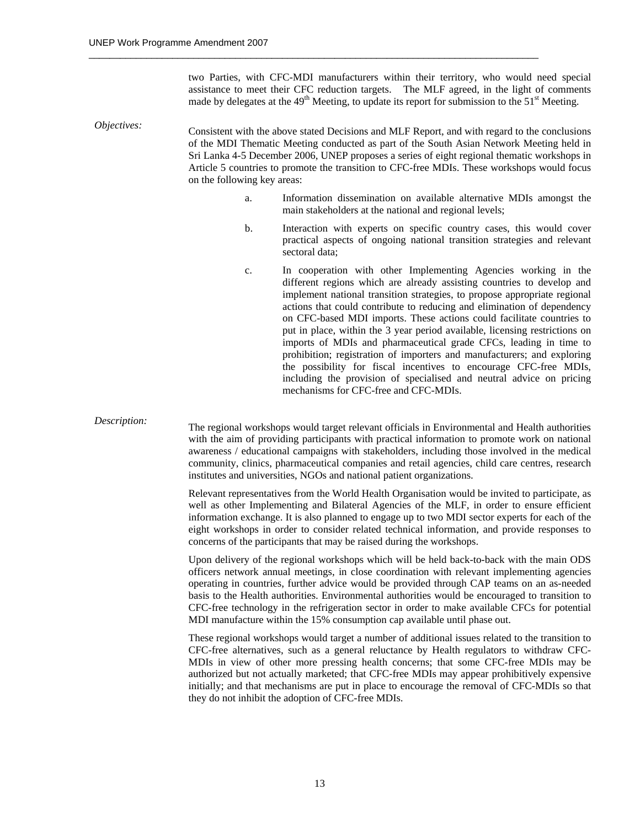two Parties, with CFC-MDI manufacturers within their territory, who would need special assistance to meet their CFC reduction targets. The MLF agreed, in the light of comments made by delegates at the  $49<sup>th</sup>$  Meeting, to update its report for submission to the  $51<sup>st</sup>$  Meeting.

*Objectives:* Consistent with the above stated Decisions and MLF Report, and with regard to the conclusions of the MDI Thematic Meeting conducted as part of the South Asian Network Meeting held in Sri Lanka 4-5 December 2006, UNEP proposes a series of eight regional thematic workshops in Article 5 countries to promote the transition to CFC-free MDIs. These workshops would focus on the following key areas:

 $\_$  , and the set of the set of the set of the set of the set of the set of the set of the set of the set of the set of the set of the set of the set of the set of the set of the set of the set of the set of the set of th

- a. Information dissemination on available alternative MDIs amongst the main stakeholders at the national and regional levels;
- b. Interaction with experts on specific country cases, this would cover practical aspects of ongoing national transition strategies and relevant sectoral data;
- c. In cooperation with other Implementing Agencies working in the different regions which are already assisting countries to develop and implement national transition strategies, to propose appropriate regional actions that could contribute to reducing and elimination of dependency on CFC-based MDI imports. These actions could facilitate countries to put in place, within the 3 year period available, licensing restrictions on imports of MDIs and pharmaceutical grade CFCs, leading in time to prohibition; registration of importers and manufacturers; and exploring the possibility for fiscal incentives to encourage CFC-free MDIs, including the provision of specialised and neutral advice on pricing mechanisms for CFC-free and CFC-MDIs.

*Description:* The regional workshops would target relevant officials in Environmental and Health authorities with the aim of providing participants with practical information to promote work on national awareness / educational campaigns with stakeholders, including those involved in the medical community, clinics, pharmaceutical companies and retail agencies, child care centres, research institutes and universities, NGOs and national patient organizations.

> Relevant representatives from the World Health Organisation would be invited to participate, as well as other Implementing and Bilateral Agencies of the MLF, in order to ensure efficient information exchange. It is also planned to engage up to two MDI sector experts for each of the eight workshops in order to consider related technical information, and provide responses to concerns of the participants that may be raised during the workshops.

> Upon delivery of the regional workshops which will be held back-to-back with the main ODS officers network annual meetings, in close coordination with relevant implementing agencies operating in countries, further advice would be provided through CAP teams on an as-needed basis to the Health authorities. Environmental authorities would be encouraged to transition to CFC-free technology in the refrigeration sector in order to make available CFCs for potential MDI manufacture within the 15% consumption cap available until phase out.

> These regional workshops would target a number of additional issues related to the transition to CFC-free alternatives, such as a general reluctance by Health regulators to withdraw CFC-MDIs in view of other more pressing health concerns; that some CFC-free MDIs may be authorized but not actually marketed; that CFC-free MDIs may appear prohibitively expensive initially; and that mechanisms are put in place to encourage the removal of CFC-MDIs so that they do not inhibit the adoption of CFC-free MDIs.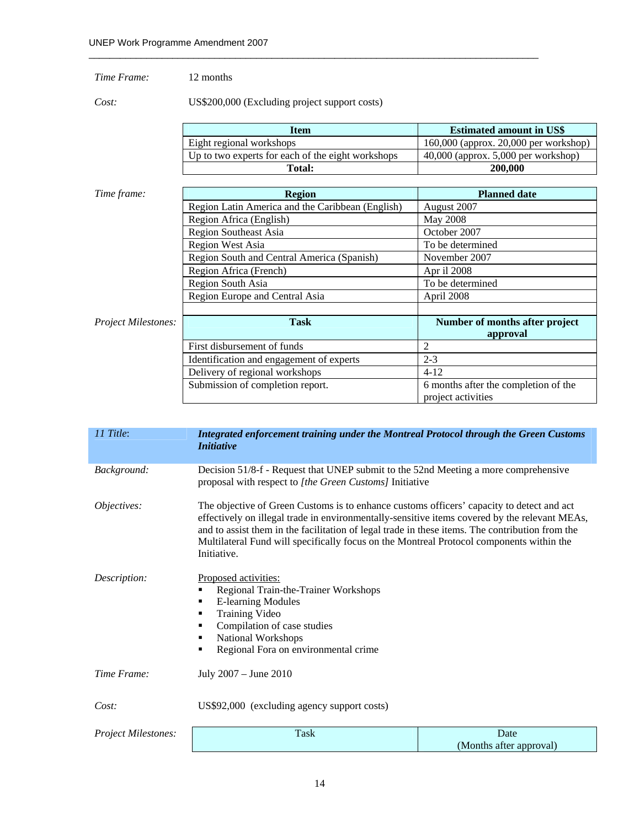### *Time Frame:* 12 months

*Cost:* US\$200,000 (Excluding project support costs)

| Item                                              | <b>Estimated amount in US\$</b>         |
|---------------------------------------------------|-----------------------------------------|
| Eight regional workshops                          | $160,000$ (approx. 20,000 per workshop) |
| Up to two experts for each of the eight workshops | $40,000$ (approx. 5,000 per workshop)   |
| Total:                                            | 200,000                                 |

| Time frame:                | <b>Region</b>                                    | <b>Planned date</b>                  |
|----------------------------|--------------------------------------------------|--------------------------------------|
|                            | Region Latin America and the Caribbean (English) | August 2007                          |
|                            | Region Africa (English)                          | <b>May 2008</b>                      |
|                            | <b>Region Southeast Asia</b>                     | October 2007                         |
|                            | <b>Region West Asia</b>                          | To be determined                     |
|                            | Region South and Central America (Spanish)       | November 2007                        |
|                            | Region Africa (French)                           | Apr il 2008                          |
|                            | Region South Asia                                | To be determined                     |
|                            | Region Europe and Central Asia                   | April 2008                           |
|                            |                                                  |                                      |
| <b>Project Milestones:</b> | <b>Task</b>                                      | Number of months after project       |
|                            |                                                  | approval                             |
|                            | First disbursement of funds                      | 2                                    |
|                            | Identification and engagement of experts         | $2 - 3$                              |
|                            | Delivery of regional workshops                   | $4 - 12$                             |
|                            | Submission of completion report.                 | 6 months after the completion of the |
|                            |                                                  | project activities                   |

| 11 Title:                  | <b>Integrated enforcement training under the Montreal Protocol through the Green Customs</b><br><i>Initiative</i>                                                                                                                                                                                                                                                                                        |                                 |  |
|----------------------------|----------------------------------------------------------------------------------------------------------------------------------------------------------------------------------------------------------------------------------------------------------------------------------------------------------------------------------------------------------------------------------------------------------|---------------------------------|--|
| Background:                | Decision 51/8-f - Request that UNEP submit to the 52nd Meeting a more comprehensive<br>proposal with respect to [the Green Customs] Initiative                                                                                                                                                                                                                                                           |                                 |  |
| Objectives:                | The objective of Green Customs is to enhance customs officers' capacity to detect and act<br>effectively on illegal trade in environmentally-sensitive items covered by the relevant MEAs,<br>and to assist them in the facilitation of legal trade in these items. The contribution from the<br>Multilateral Fund will specifically focus on the Montreal Protocol components within the<br>Initiative. |                                 |  |
| Description:               | Proposed activities:<br>Regional Train-the-Trainer Workshops<br>٠<br><b>E-learning Modules</b><br>٠<br><b>Training Video</b><br>Compilation of case studies<br>٠<br>National Workshops<br>٠<br>Regional Fora on environmental crime<br>٠                                                                                                                                                                 |                                 |  |
| Time Frame:                | July 2007 - June 2010                                                                                                                                                                                                                                                                                                                                                                                    |                                 |  |
| Cost:                      | US\$92,000 (excluding agency support costs)                                                                                                                                                                                                                                                                                                                                                              |                                 |  |
| <b>Project Milestones:</b> | Task                                                                                                                                                                                                                                                                                                                                                                                                     | Date<br>(Months after approval) |  |